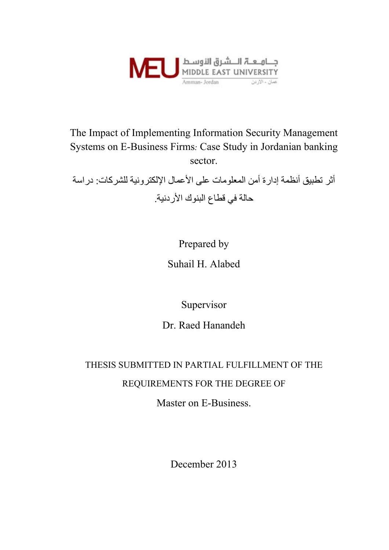

The Impact of Implementing Information Security Management Systems on E-Business Firms*:* Case Study in Jordanian banking sector.

أثر تطبيق أنظمة إدارة أمن المعلومات على الأعمال الإلكترونية للشركات: دراسة حالة في قطاع البنوك الأردنية .

Prepared by

Suhail H. Alabed

Supervisor

Dr. Raed Hanandeh

# THESIS SUBMITTED IN PARTIAL FULFILLMENT OF THE REQUIREMENTS FOR THE DEGREE OF

Master on E-Business.

December 2013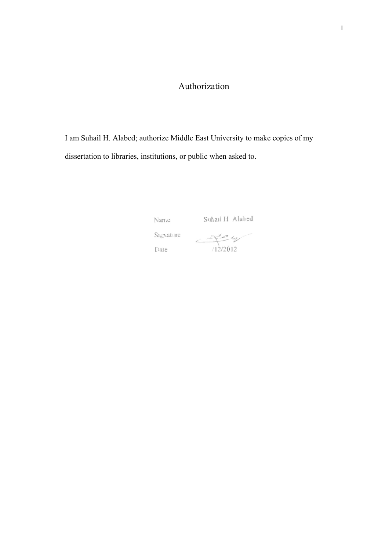# Authorization

I am Suhail H. Alabed; authorize Middle East University to make copies of my dissertation to libraries, institutions, or public when asked to.

Nanc

Suhail H Alabed

 $S_1$ giature

Date

 $472012$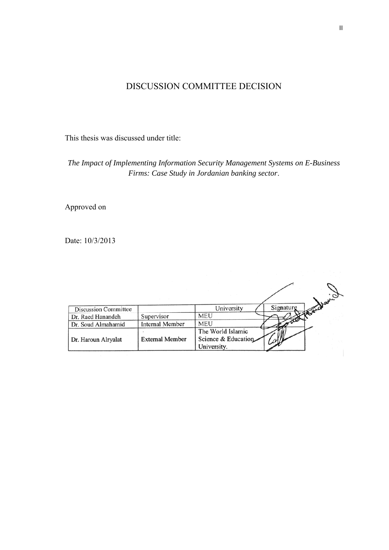# DISCUSSION COMMITTEE DECISION

This thesis was discussed under title:

*The Impact of Implementing Information Security Management Systems on E-Business Firms: Case Study in Jordanian banking sector*.

Approved on

Date: 10/3/2013

|                             |                        | wohavion                                                |
|-----------------------------|------------------------|---------------------------------------------------------|
| <b>Discussion Committee</b> |                        | Signaturg<br>University                                 |
| Dr. Raed Hanandeh           | Supervisor             | MEU                                                     |
| Dr. Soud Almahamid          | <b>Internal Member</b> | <b>MEU</b>                                              |
| Dr. Haroun Alryalat         | <b>External Member</b> | The World Islamic<br>Science & Education<br>University. |
|                             |                        |                                                         |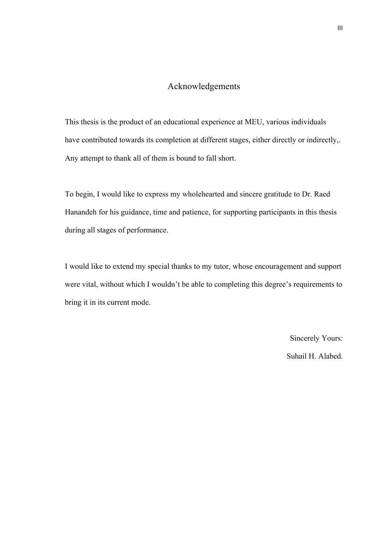#### Acknowledgements

This thesis is the product of an educational experience at MEU, various individuals have contributed towards its completion at different stages, either directly or indirectly,. Any attempt to thank all of them is bound to fall short.

To begin, I would like to express my wholehearted and sincere gratitude to Dr. Raed Hanandeh for his guidance, time and patience, for supporting participants in this thesis during all stages of performance.

I would like to extend my special thanks to my tutor, whose encouragement and support were vital, without which I wouldn't be able to completing this degree's requirements to bring it in its current mode.

> Sincerely Yours: Suhail H. Alabed.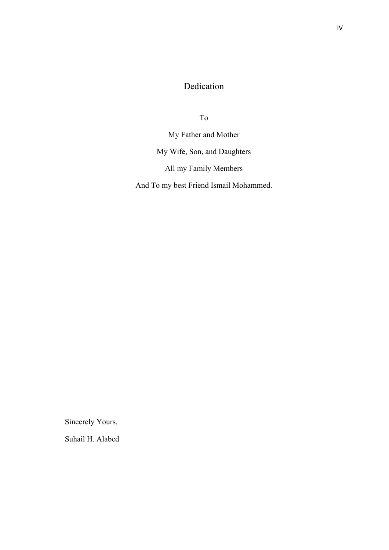# Dedication

To

My Father and Mother My Wife, Son, and Daughters All my Family Members

And To my best Friend Ismail Mohammed.

Sincerely Yours,

Suhail H. Alabed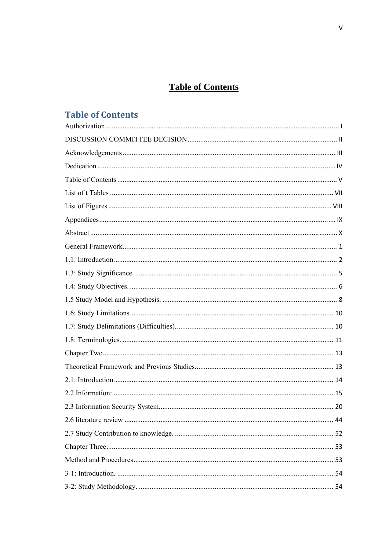# **Table of Contents**

# **Table of Contents**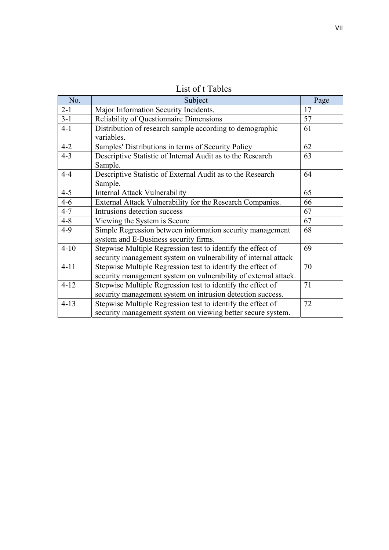| No.      | Subject                                                                                                                        | Page |
|----------|--------------------------------------------------------------------------------------------------------------------------------|------|
| $2 - 1$  | Major Information Security Incidents.                                                                                          | 17   |
| $3 - 1$  | <b>Reliability of Questionnaire Dimensions</b>                                                                                 | 57   |
| $4 - 1$  | Distribution of research sample according to demographic<br>variables.                                                         | 61   |
| $4 - 2$  | Samples' Distributions in terms of Security Policy                                                                             | 62   |
| $4 - 3$  | Descriptive Statistic of Internal Audit as to the Research<br>Sample.                                                          | 63   |
| $4 - 4$  | Descriptive Statistic of External Audit as to the Research<br>Sample.                                                          | 64   |
| $4 - 5$  | <b>Internal Attack Vulnerability</b>                                                                                           | 65   |
| $4 - 6$  | External Attack Vulnerability for the Research Companies.                                                                      | 66   |
| $4 - 7$  | Intrusions detection success                                                                                                   | 67   |
| $4 - 8$  | Viewing the System is Secure                                                                                                   | 67   |
| $4-9$    | Simple Regression between information security management<br>system and E-Business security firms.                             | 68   |
| $4 - 10$ | Stepwise Multiple Regression test to identify the effect of<br>security management system on vulnerability of internal attack  | 69   |
| $4 - 11$ | Stepwise Multiple Regression test to identify the effect of<br>security management system on vulnerability of external attack. | 70   |
| $4 - 12$ | Stepwise Multiple Regression test to identify the effect of<br>security management system on intrusion detection success.      | 71   |
| $4 - 13$ | Stepwise Multiple Regression test to identify the effect of<br>security management system on viewing better secure system.     | 72   |

List of t Tables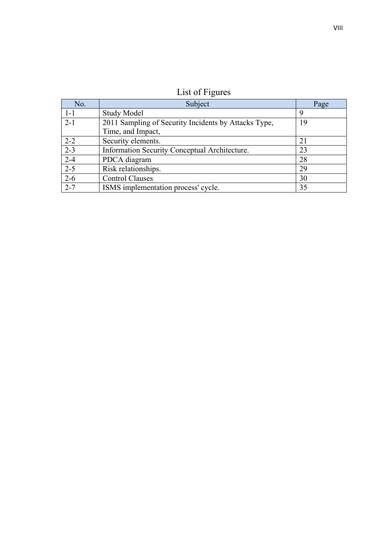| List of Figures |  |
|-----------------|--|
|                 |  |

| No.     | Subject                                              | Page |
|---------|------------------------------------------------------|------|
| $1 - 1$ | <b>Study Model</b>                                   | 9    |
| $2 - 1$ | 2011 Sampling of Security Incidents by Attacks Type, | 19   |
|         | Time, and Impact,                                    |      |
| $2 - 2$ | Security elements.                                   | 21   |
| $2 - 3$ | Information Security Conceptual Architecture.        | 23   |
| $2 - 4$ | PDCA diagram                                         | 28   |
| $2 - 5$ | Risk relationships.                                  | 29   |
| $2 - 6$ | <b>Control Clauses</b>                               | 30   |
| $2 - 7$ | ISMS implementation process' cycle.                  | 35   |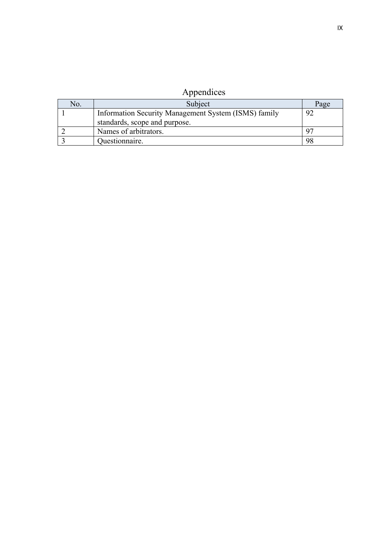| Appendices |  |
|------------|--|
|            |  |

| No. | Subject                                              | Page |
|-----|------------------------------------------------------|------|
|     | Information Security Management System (ISMS) family | 92   |
|     | standards, scope and purpose.                        |      |
|     | Names of arbitrators.                                |      |
|     | Questionnaire.                                       | 98   |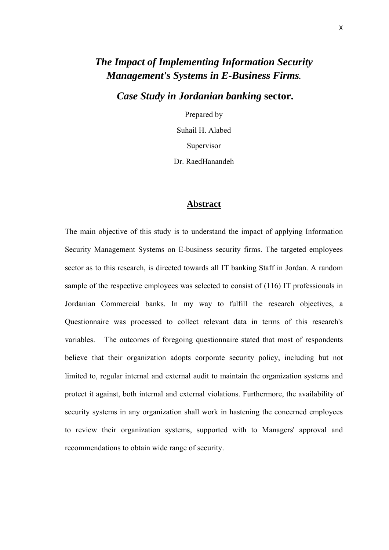# *The Impact of Implementing Information Security Management's Systems in E-Business Firms.*

 *Case Study in Jordanian banking* **sector.** 

Prepared by Suhail H. Alabed Supervisor Dr. RaedHanandeh

#### **Abstract**

The main objective of this study is to understand the impact of applying Information Security Management Systems on E-business security firms. The targeted employees sector as to this research, is directed towards all IT banking Staff in Jordan. A random sample of the respective employees was selected to consist of (116) IT professionals in Jordanian Commercial banks. In my way to fulfill the research objectives, a Questionnaire was processed to collect relevant data in terms of this research's variables. The outcomes of foregoing questionnaire stated that most of respondents believe that their organization adopts corporate security policy, including but not limited to, regular internal and external audit to maintain the organization systems and protect it against, both internal and external violations. Furthermore, the availability of security systems in any organization shall work in hastening the concerned employees to review their organization systems, supported with to Managers' approval and recommendations to obtain wide range of security.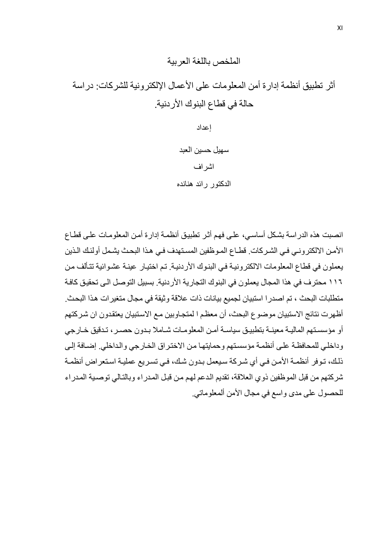## الملخص باللغة العربية

أثر تطبيق أنظمة إدار ة أمن المعلومات على الأعمال الإلكتر ونبة للشر كات: در اسة حالة في قطاع البنوك الأردنية.

إعداد

سهيل حسين العبد اشراف الدآتور رائد هنانده

انصبت هذه الدر اسة بشكل أساسي، على فهم أثر تطبيق أنظمة إدارة أمن المعلومات على قطاع الأمن الالكتروني في الشركات. قطـاع المـوظفين المسـتهدف في هذا البحث يشمل أولئك الـذين یعملون في قطاع المعلومات الالكترونية في البنوك الأردنية. تم اختيار عينـة عشوائية تتألف من ١١٦ محتر ف في هذا المجال يعملون في البنوك التجارية الأر دنية. بسبيل التوصل الـى تحقيق كافـة متطلبات البحث ، تم اصدر ا استبيان لجميع بيانات ذات علاقة و ثبقة في مجال متغير ات هذا البحث. أظهرت نتائج الاستبيان موضوع البحث، أن معظم ا لمتجاوبين مـع الاستبيان يعتقدون ان شر كتهم أو مؤسستهم الماليـة معينـة بتطبيـق سياسـة أمـن المعلومـات شـاملا بـدون حصـر ، تـدقيق خـارجي وداخلي للمحافظة على أنظمة مؤسستهم وحمايتها من الاختراق الخارجي والداخلي. إضافة إلى ذلك، تـوفر أنظمـة الأمـن فـي أي شـركة سيعمل بـدون شك، فـي تسريع عمليـة استعراض أنظمـة شركتهم من قبل الموظفين ذوي العلاقة، تقديم الدعم لهم من قبل المدراء وبالتالي توصية المدراء للحصول على مدى واسع في مجال الأمن ألمعلوماتي.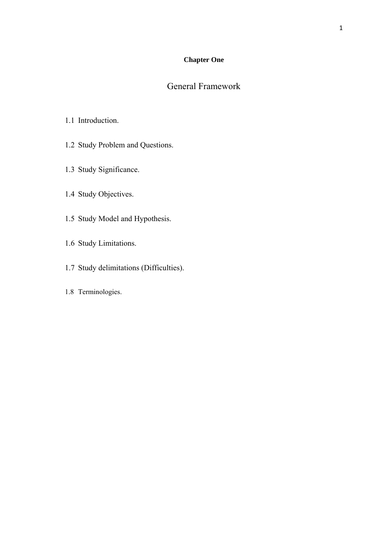#### **Chapter One**

# General Framework

#### 1.1 Introduction.

- 1.2 Study Problem and Questions.
- 1.3 Study Significance.
- 1.4 Study Objectives.
- 1.5 Study Model and Hypothesis.
- 1.6 Study Limitations.
- 1.7 Study delimitations (Difficulties).
- 1.8 Terminologies.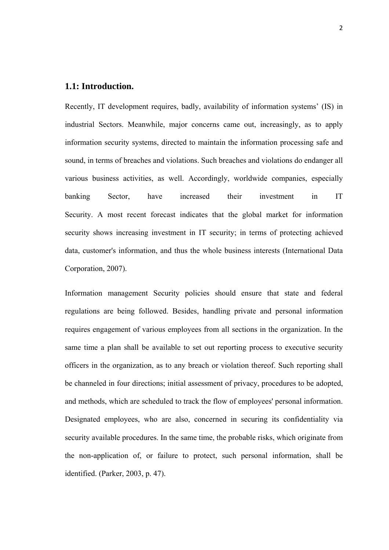#### **1.1: Introduction.**

Recently, IT development requires, badly, availability of information systems' (IS) in industrial Sectors. Meanwhile, major concerns came out, increasingly, as to apply information security systems, directed to maintain the information processing safe and sound, in terms of breaches and violations. Such breaches and violations do endanger all various business activities, as well. Accordingly, worldwide companies, especially banking Sector, have increased their investment in IT Security. A most recent forecast indicates that the global market for information security shows increasing investment in IT security; in terms of protecting achieved data, customer's information, and thus the whole business interests (International Data Corporation, 2007).

Information management Security policies should ensure that state and federal regulations are being followed. Besides, handling private and personal information requires engagement of various employees from all sections in the organization. In the same time a plan shall be available to set out reporting process to executive security officers in the organization, as to any breach or violation thereof. Such reporting shall be channeled in four directions; initial assessment of privacy, procedures to be adopted, and methods, which are scheduled to track the flow of employees' personal information. Designated employees, who are also, concerned in securing its confidentiality via security available procedures. In the same time, the probable risks, which originate from the non-application of, or failure to protect, such personal information, shall be identified. (Parker, 2003, p. 47).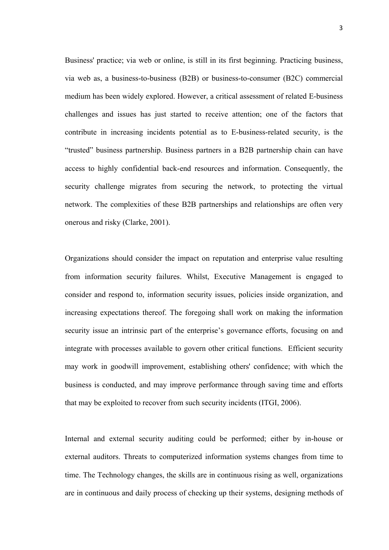Business' practice; via web or online, is still in its first beginning. Practicing business, via web as, a business-to-business (B2B) or business-to-consumer (B2C) commercial medium has been widely explored. However, a critical assessment of related E-business challenges and issues has just started to receive attention; one of the factors that contribute in increasing incidents potential as to E-business-related security, is the "trusted" business partnership. Business partners in a B2B partnership chain can have access to highly confidential back-end resources and information. Consequently, the security challenge migrates from securing the network, to protecting the virtual network. The complexities of these B2B partnerships and relationships are often very onerous and risky (Clarke, 2001).

Organizations should consider the impact on reputation and enterprise value resulting from information security failures. Whilst, Executive Management is engaged to consider and respond to, information security issues, policies inside organization, and increasing expectations thereof. The foregoing shall work on making the information security issue an intrinsic part of the enterprise's governance efforts, focusing on and integrate with processes available to govern other critical functions. Efficient security may work in goodwill improvement, establishing others' confidence; with which the business is conducted, and may improve performance through saving time and efforts that may be exploited to recover from such security incidents (ITGI, 2006).

Internal and external security auditing could be performed; either by in-house or external auditors. Threats to computerized information systems changes from time to time. The Technology changes, the skills are in continuous rising as well, organizations are in continuous and daily process of checking up their systems, designing methods of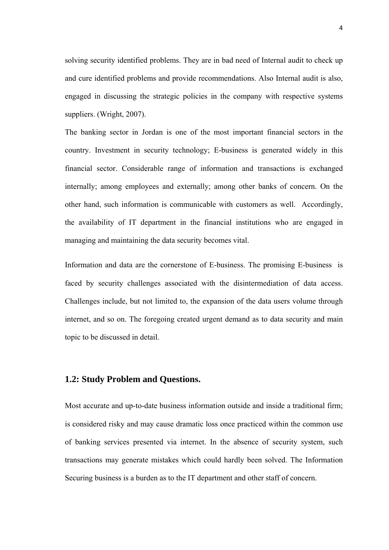solving security identified problems. They are in bad need of Internal audit to check up and cure identified problems and provide recommendations. Also Internal audit is also, engaged in discussing the strategic policies in the company with respective systems suppliers. (Wright, 2007).

The banking sector in Jordan is one of the most important financial sectors in the country. Investment in security technology; E-business is generated widely in this financial sector. Considerable range of information and transactions is exchanged internally; among employees and externally; among other banks of concern. On the other hand, such information is communicable with customers as well. Accordingly, the availability of IT department in the financial institutions who are engaged in managing and maintaining the data security becomes vital.

Information and data are the cornerstone of E-business. The promising E-business is faced by security challenges associated with the disintermediation of data access. Challenges include, but not limited to, the expansion of the data users volume through internet, and so on. The foregoing created urgent demand as to data security and main topic to be discussed in detail.

#### **1.2: Study Problem and Questions.**

Most accurate and up-to-date business information outside and inside a traditional firm; is considered risky and may cause dramatic loss once practiced within the common use of banking services presented via internet. In the absence of security system, such transactions may generate mistakes which could hardly been solved. The Information Securing business is a burden as to the IT department and other staff of concern.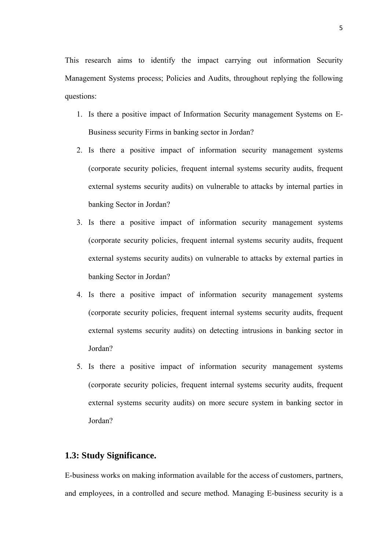This research aims to identify the impact carrying out information Security Management Systems process; Policies and Audits, throughout replying the following questions:

- 1. Is there a positive impact of Information Security management Systems on E-Business security Firms in banking sector in Jordan?
- 2. Is there a positive impact of information security management systems (corporate security policies, frequent internal systems security audits, frequent external systems security audits) on vulnerable to attacks by internal parties in banking Sector in Jordan?
- 3. Is there a positive impact of information security management systems (corporate security policies, frequent internal systems security audits, frequent external systems security audits) on vulnerable to attacks by external parties in banking Sector in Jordan?
- 4. Is there a positive impact of information security management systems (corporate security policies, frequent internal systems security audits, frequent external systems security audits) on detecting intrusions in banking sector in Jordan?
- 5. Is there a positive impact of information security management systems (corporate security policies, frequent internal systems security audits, frequent external systems security audits) on more secure system in banking sector in Jordan?

#### **1.3: Study Significance.**

E-business works on making information available for the access of customers, partners, and employees, in a controlled and secure method. Managing E-business security is a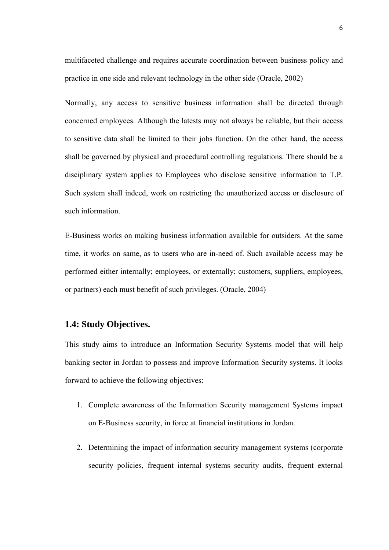multifaceted challenge and requires accurate coordination between business policy and practice in one side and relevant technology in the other side (Oracle, 2002)

Normally, any access to sensitive business information shall be directed through concerned employees. Although the latests may not always be reliable, but their access to sensitive data shall be limited to their jobs function. On the other hand, the access shall be governed by physical and procedural controlling regulations. There should be a disciplinary system applies to Employees who disclose sensitive information to T.P. Such system shall indeed, work on restricting the unauthorized access or disclosure of such information.

E-Business works on making business information available for outsiders. At the same time, it works on same, as to users who are in-need of. Such available access may be performed either internally; employees, or externally; customers, suppliers, employees, or partners) each must benefit of such privileges. (Oracle, 2004)

#### **1.4: Study Objectives.**

This study aims to introduce an Information Security Systems model that will help banking sector in Jordan to possess and improve Information Security systems. It looks forward to achieve the following objectives:

- 1. Complete awareness of the Information Security management Systems impact on E-Business security, in force at financial institutions in Jordan.
- 2. Determining the impact of information security management systems (corporate security policies, frequent internal systems security audits, frequent external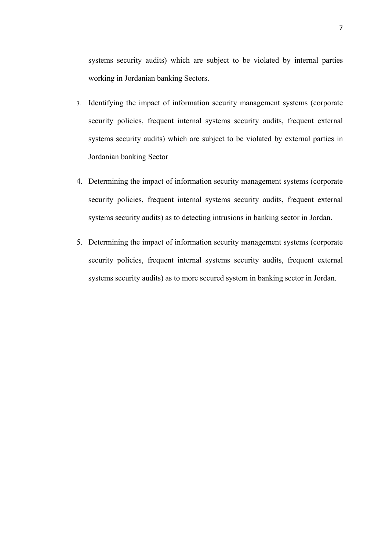systems security audits) which are subject to be violated by internal parties working in Jordanian banking Sectors.

- 3. Identifying the impact of information security management systems (corporate security policies, frequent internal systems security audits, frequent external systems security audits) which are subject to be violated by external parties in Jordanian banking Sector
- 4. Determining the impact of information security management systems (corporate security policies, frequent internal systems security audits, frequent external systems security audits) as to detecting intrusions in banking sector in Jordan.
- 5. Determining the impact of information security management systems (corporate security policies, frequent internal systems security audits, frequent external systems security audits) as to more secured system in banking sector in Jordan.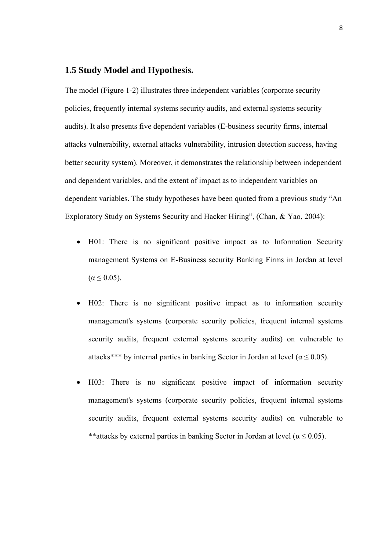#### **1.5 Study Model and Hypothesis.**

The model (Figure 1-2) illustrates three independent variables (corporate security policies, frequently internal systems security audits, and external systems security audits). It also presents five dependent variables (E-business security firms, internal attacks vulnerability, external attacks vulnerability, intrusion detection success, having better security system). Moreover, it demonstrates the relationship between independent and dependent variables, and the extent of impact as to independent variables on dependent variables. The study hypotheses have been quoted from a previous study "An Exploratory Study on Systems Security and Hacker Hiring", (Chan, & Yao, 2004):

- H01: There is no significant positive impact as to Information Security management Systems on E-Business security Banking Firms in Jordan at level  $(\alpha \leq 0.05)$ .
- H02: There is no significant positive impact as to information security management's systems (corporate security policies, frequent internal systems security audits, frequent external systems security audits) on vulnerable to attacks\*\*\* by internal parties in banking Sector in Jordan at level ( $\alpha \le 0.05$ ).
- H03: There is no significant positive impact of information security management's systems (corporate security policies, frequent internal systems security audits, frequent external systems security audits) on vulnerable to \*\*attacks by external parties in banking Sector in Jordan at level ( $\alpha \le 0.05$ ).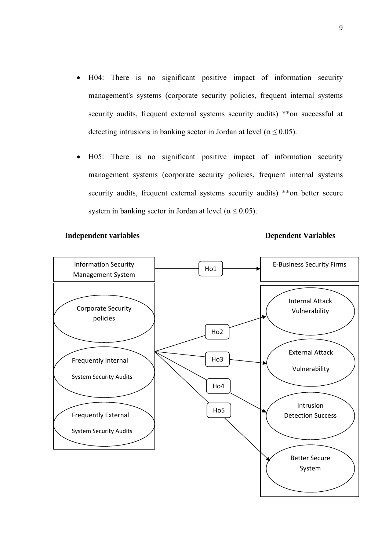- H04: There is no significant positive impact of information security management's systems (corporate security policies, frequent internal systems security audits, frequent external systems security audits) \*\*on successful at detecting intrusions in banking sector in Jordan at level ( $\alpha \le 0.05$ ).
- H05: There is no significant positive impact of information security management systems (corporate security policies, frequent internal systems security audits, frequent external systems security audits) \*\*on better secure system in banking sector in Jordan at level ( $\alpha \le 0.05$ ).

#### **Independent variables Dependent Variables**

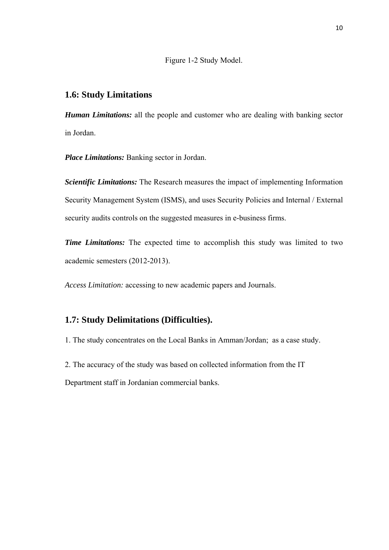Figure 1-2 Study Model.

#### **1.6: Study Limitations**

*Human Limitations:* all the people and customer who are dealing with banking sector in Jordan.

*Place Limitations:* Banking sector in Jordan.

*Scientific Limitations:* The Research measures the impact of implementing Information Security Management System (ISMS), and uses Security Policies and Internal / External security audits controls on the suggested measures in e-business firms.

*Time Limitations:* The expected time to accomplish this study was limited to two academic semesters (2012-2013).

*Access Limitation:* accessing to new academic papers and Journals.

### **1.7: Study Delimitations (Difficulties).**

1. The study concentrates on the Local Banks in Amman/Jordan; as a case study.

2. The accuracy of the study was based on collected information from the IT

Department staff in Jordanian commercial banks.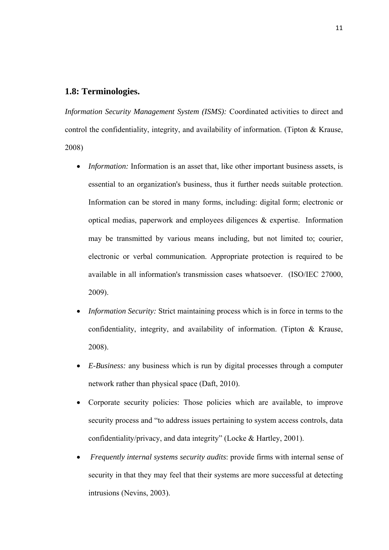#### **1.8: Terminologies.**

*Information Security Management System (ISMS):* Coordinated activities to direct and control the confidentiality, integrity, and availability of information. (Tipton & Krause, 2008)

- *Information:* Information is an asset that, like other important business assets, is essential to an organization's business, thus it further needs suitable protection. Information can be stored in many forms, including: digital form; electronic or optical medias, paperwork and employees diligences & expertise. Information may be transmitted by various means including, but not limited to; courier, electronic or verbal communication. Appropriate protection is required to be available in all information's transmission cases whatsoever. (ISO/IEC 27000, 2009).
- *Information Security:* Strict maintaining process which is in force in terms to the confidentiality, integrity, and availability of information. (Tipton & Krause, 2008).
- *E-Business:* any business which is run by digital processes through a computer network rather than physical space (Daft, 2010).
- Corporate security policies: Those policies which are available, to improve security process and "to address issues pertaining to system access controls, data confidentiality/privacy, and data integrity" (Locke & Hartley, 2001).
- *Frequently internal systems security audits*: provide firms with internal sense of security in that they may feel that their systems are more successful at detecting intrusions (Nevins, 2003).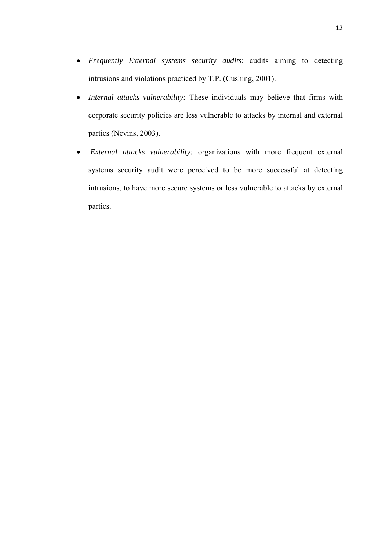- *Frequently External systems security audits*: audits aiming to detecting intrusions and violations practiced by T.P. (Cushing, 2001).
- *Internal attacks vulnerability:* These individuals may believe that firms with corporate security policies are less vulnerable to attacks by internal and external parties (Nevins, 2003).
- *External attacks vulnerability:* organizations with more frequent external systems security audit were perceived to be more successful at detecting intrusions, to have more secure systems or less vulnerable to attacks by external parties.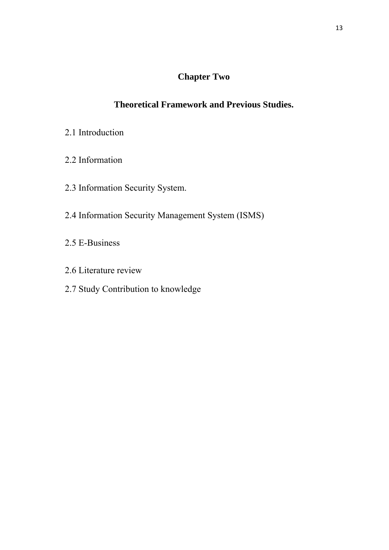# **Chapter Two**

# **Theoretical Framework and Previous Studies.**

- 2.1 Introduction
- 2.2 Information
- 2.3 Information Security System.
- 2.4 Information Security Management System (ISMS)
- 2.5 E-Business
- 2.6 Literature review
- 2.7 Study Contribution to knowledge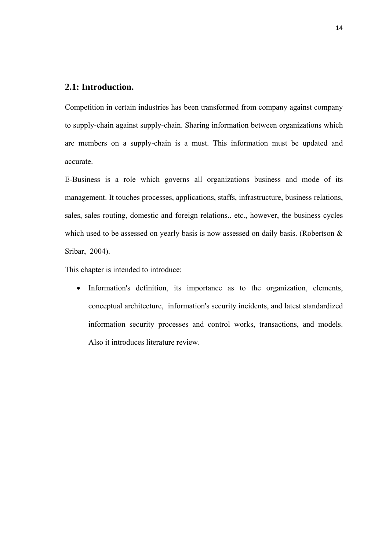#### **2.1: Introduction.**

Competition in certain industries has been transformed from company against company to supply-chain against supply-chain. Sharing information between organizations which are members on a supply-chain is a must. This information must be updated and accurate.

E-Business is a role which governs all organizations business and mode of its management. It touches processes, applications, staffs, infrastructure, business relations, sales, sales routing, domestic and foreign relations.. etc., however, the business cycles which used to be assessed on yearly basis is now assessed on daily basis. (Robertson & Sribar, 2004).

This chapter is intended to introduce:

• Information's definition, its importance as to the organization, elements, conceptual architecture, information's security incidents, and latest standardized information security processes and control works, transactions, and models. Also it introduces literature review.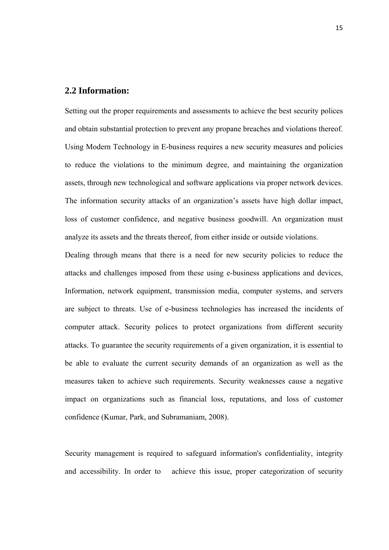#### **2.2 Information:**

Setting out the proper requirements and assessments to achieve the best security polices and obtain substantial protection to prevent any propane breaches and violations thereof. Using Modern Technology in E-business requires a new security measures and policies to reduce the violations to the minimum degree, and maintaining the organization assets, through new technological and software applications via proper network devices. The information security attacks of an organization's assets have high dollar impact, loss of customer confidence, and negative business goodwill. An organization must analyze its assets and the threats thereof, from either inside or outside violations.

Dealing through means that there is a need for new security policies to reduce the attacks and challenges imposed from these using e-business applications and devices, Information, network equipment, transmission media, computer systems, and servers are subject to threats. Use of e-business technologies has increased the incidents of computer attack. Security polices to protect organizations from different security attacks. To guarantee the security requirements of a given organization, it is essential to be able to evaluate the current security demands of an organization as well as the measures taken to achieve such requirements. Security weaknesses cause a negative impact on organizations such as financial loss, reputations, and loss of customer confidence (Kumar, Park, and Subramaniam, 2008).

Security management is required to safeguard information's confidentiality, integrity and accessibility. In order to achieve this issue, proper categorization of security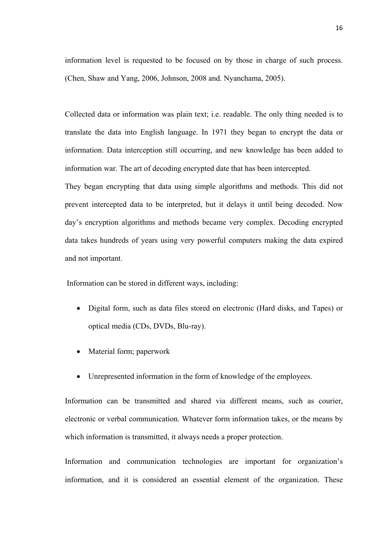information level is requested to be focused on by those in charge of such process. (Chen, Shaw and Yang, 2006, Johnson, 2008 and. Nyanchama, 2005).

Collected data or information was plain text; i.e. readable. The only thing needed is to translate the data into English language. In 1971 they began to encrypt the data or information. Data interception still occurring, and new knowledge has been added to information war. The art of decoding encrypted date that has been intercepted.

They began encrypting that data using simple algorithms and methods. This did not prevent intercepted data to be interpreted, but it delays it until being decoded. Now day's encryption algorithms and methods became very complex. Decoding encrypted data takes hundreds of years using very powerful computers making the data expired and not important.

Information can be stored in different ways, including:

- Digital form, such as data files stored on electronic (Hard disks, and Tapes) or optical media (CDs, DVDs, Blu-ray).
- Material form; paperwork
- Unrepresented information in the form of knowledge of the employees.

Information can be transmitted and shared via different means, such as courier, electronic or verbal communication. Whatever form information takes, or the means by which information is transmitted, it always needs a proper protection.

Information and communication technologies are important for organization's information, and it is considered an essential element of the organization. These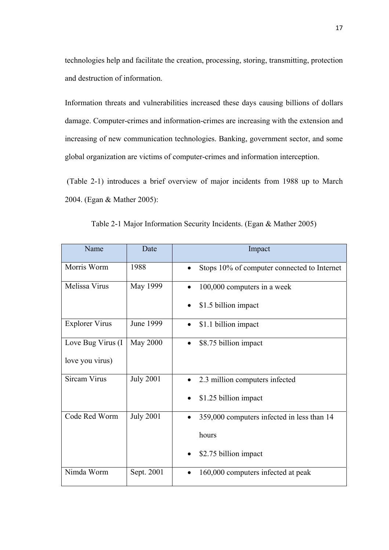technologies help and facilitate the creation, processing, storing, transmitting, protection and destruction of information.

Information threats and vulnerabilities increased these days causing billions of dollars damage. Computer-crimes and information-crimes are increasing with the extension and increasing of new communication technologies. Banking, government sector, and some global organization are victims of computer-crimes and information interception.

 (Table 2-1) introduces a brief overview of major incidents from 1988 up to March 2004. (Egan & Mather 2005):

| Name                  | Date             | Impact                                                   |
|-----------------------|------------------|----------------------------------------------------------|
| Morris Worm           | 1988             | Stops 10% of computer connected to Internet<br>$\bullet$ |
| Melissa Virus         | May 1999         | 100,000 computers in a week                              |
|                       |                  | \$1.5 billion impact                                     |
| <b>Explorer Virus</b> | June 1999        | \$1.1 billion impact                                     |
| Love Bug Virus (I     | <b>May 2000</b>  | \$8.75 billion impact<br>$\bullet$                       |
| love you virus)       |                  |                                                          |
| <b>Sircam Virus</b>   | <b>July 2001</b> | 2.3 million computers infected                           |
|                       |                  | \$1.25 billion impact                                    |
| Code Red Worm         | <b>July 2001</b> | 359,000 computers infected in less than 14               |
|                       |                  | hours                                                    |
|                       |                  | \$2.75 billion impact                                    |
| Nimda Worm            | Sept. 2001       | 160,000 computers infected at peak                       |

Table 2-1 Major Information Security Incidents. (Egan & Mather 2005)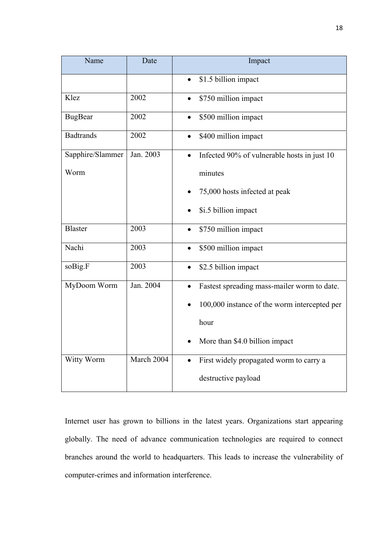| Name             | Date       | Impact                                                   |
|------------------|------------|----------------------------------------------------------|
|                  |            | \$1.5 billion impact                                     |
| Klez             | 2002       | \$750 million impact<br>$\bullet$                        |
| <b>BugBear</b>   | 2002       | \$500 million impact<br>$\bullet$                        |
| <b>Badtrands</b> | 2002       | \$400 million impact                                     |
| Sapphire/Slammer | Jan. 2003  | Infected 90% of vulnerable hosts in just 10<br>$\bullet$ |
| Worm             |            | minutes                                                  |
|                  |            | 75,000 hosts infected at peak                            |
|                  |            | \$i.5 billion impact<br>$\bullet$                        |
| <b>Blaster</b>   | 2003       | \$750 million impact                                     |
| Nachi            | 2003       | \$500 million impact                                     |
| soBig.F          | 2003       | \$2.5 billion impact                                     |
| MyDoom Worm      | Jan. 2004  | Fastest spreading mass-mailer worm to date.              |
|                  |            | 100,000 instance of the worm intercepted per             |
|                  |            | hour                                                     |
|                  |            | More than \$4.0 billion impact                           |
| Witty Worm       | March 2004 | First widely propagated worm to carry a                  |
|                  |            | destructive payload                                      |

Internet user has grown to billions in the latest years. Organizations start appearing globally. The need of advance communication technologies are required to connect branches around the world to headquarters. This leads to increase the vulnerability of computer-crimes and information interference.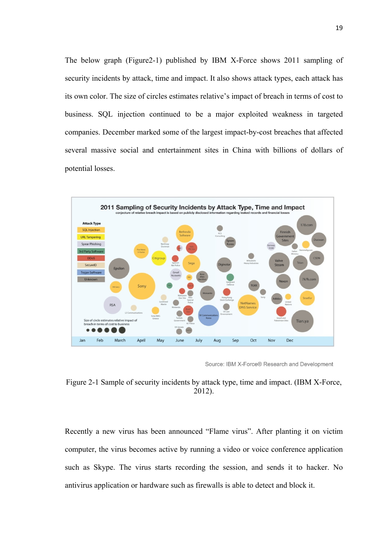The below graph (Figure2-1) published by IBM X-Force shows 2011 sampling of security incidents by attack, time and impact. It also shows attack types, each attack has its own color. The size of circles estimates relative's impact of breach in terms of cost to business. SQL injection continued to be a major exploited weakness in targeted companies. December marked some of the largest impact-by-cost breaches that affected several massive social and entertainment sites in China with billions of dollars of potential losses.



Source: IBM X-Force® Research and Development

Figure 2-1 Sample of security incidents by attack type, time and impact. (IBM X-Force, 2012).

Recently a new virus has been announced "Flame virus". After planting it on victim computer, the virus becomes active by running a video or voice conference application such as Skype. The virus starts recording the session, and sends it to hacker. No antivirus application or hardware such as firewalls is able to detect and block it.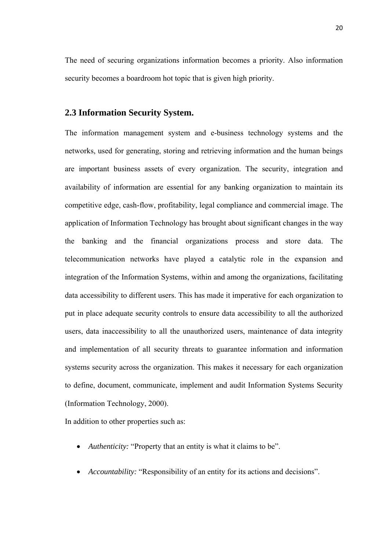The need of securing organizations information becomes a priority. Also information security becomes a boardroom hot topic that is given high priority.

#### **2.3 Information Security System.**

The information management system and e-business technology systems and the networks, used for generating, storing and retrieving information and the human beings are important business assets of every organization. The security, integration and availability of information are essential for any banking organization to maintain its competitive edge, cash-flow, profitability, legal compliance and commercial image. The application of Information Technology has brought about significant changes in the way the banking and the financial organizations process and store data. The telecommunication networks have played a catalytic role in the expansion and integration of the Information Systems, within and among the organizations, facilitating data accessibility to different users. This has made it imperative for each organization to put in place adequate security controls to ensure data accessibility to all the authorized users, data inaccessibility to all the unauthorized users, maintenance of data integrity and implementation of all security threats to guarantee information and information systems security across the organization. This makes it necessary for each organization to define, document, communicate, implement and audit Information Systems Security (Information Technology, 2000).

In addition to other properties such as:

- *Authenticity:* "Property that an entity is what it claims to be".
- *Accountability:* "Responsibility of an entity for its actions and decisions".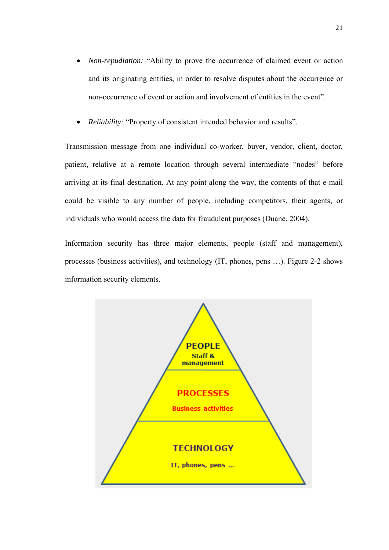- *Non-repudiation:* "Ability to prove the occurrence of claimed event or action and its originating entities, in order to resolve disputes about the occurrence or non-occurrence of event or action and involvement of entities in the event".
- *Reliability:* "Property of consistent intended behavior and results".

Transmission message from one individual co-worker, buyer, vendor, client, doctor, patient, relative at a remote location through several intermediate "nodes" before arriving at its final destination. At any point along the way, the contents of that e-mail could be visible to any number of people, including competitors, their agents, or individuals who would access the data for fraudulent purposes (Duane, 2004).

Information security has three major elements, people (staff and management), processes (business activities), and technology (IT, phones, pens …). Figure 2-2 shows information security elements.

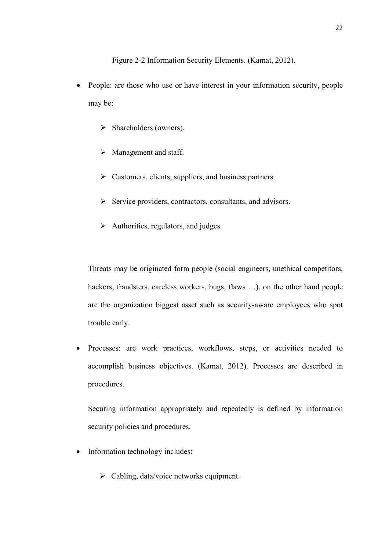Figure 2-2 Information Security Elements. (Kamat, 2012).

- People: are those who use or have interest in your information security, people may be:
	- $\triangleright$  Shareholders (owners).
	- $\triangleright$  Management and staff.
	- $\triangleright$  Customers, clients, suppliers, and business partners.
	- $\triangleright$  Service providers, contractors, consultants, and advisors.
	- $\triangleright$  Authorities, regulators, and judges.

Threats may be originated form people (social engineers, unethical competitors, hackers, fraudsters, careless workers, bugs, flaws ...), on the other hand people are the organization biggest asset such as security-aware employees who spot trouble early.

• Processes: are work practices, workflows, steps, or activities needed to accomplish business objectives. (Kamat, 2012). Processes are described in procedures.

Securing information appropriately and repeatedly is defined by information security policies and procedures.

- Information technology includes:
	- $\triangleright$  Cabling, data/voice networks equipment.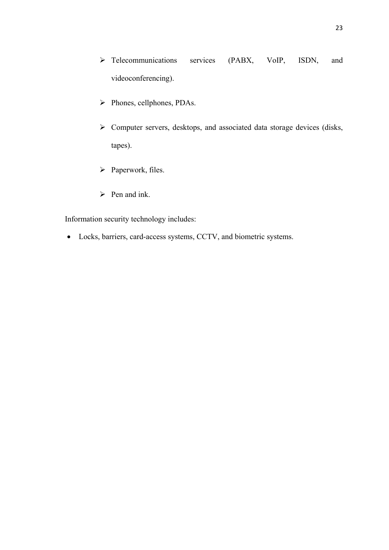- ¾ Telecommunications services (PABX, VoIP, ISDN, and videoconferencing).
- ¾ Phones, cellphones, PDAs.
- $\triangleright$  Computer servers, desktops, and associated data storage devices (disks, tapes).
- > Paperwork, files.
- $\triangleright$  Pen and ink.

Information security technology includes:

• Locks, barriers, card-access systems, CCTV, and biometric systems.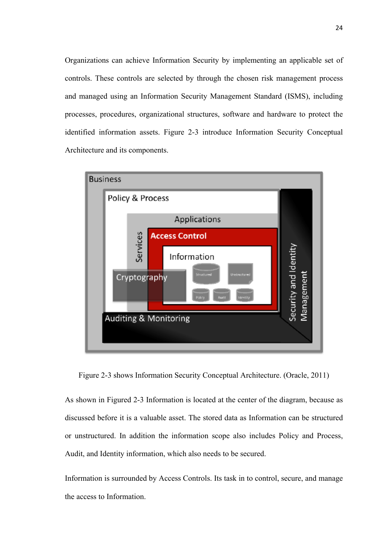Organizations can achieve Information Security by implementing an applicable set of controls. These controls are selected by through the chosen risk management process and managed using an Information Security Management Standard (ISMS), including processes, procedures, organizational structures, software and hardware to protect the identified information assets. Figure 2-3 introduce Information Security Conceptual Architecture and its components.



Figure 2-3 shows Information Security Conceptual Architecture. (Oracle, 2011)

As shown in Figured 2-3 Information is located at the center of the diagram, because as discussed before it is a valuable asset. The stored data as Information can be structured or unstructured. In addition the information scope also includes Policy and Process, Audit, and Identity information, which also needs to be secured.

Information is surrounded by Access Controls. Its task in to control, secure, and manage the access to Information.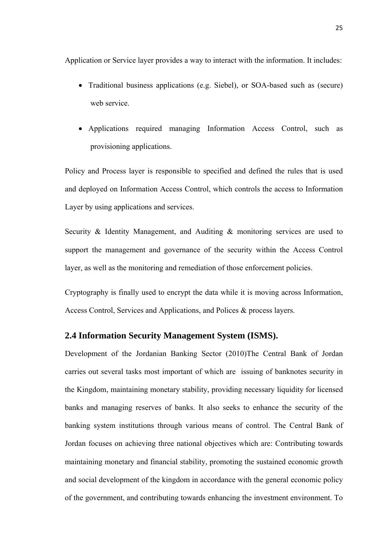Application or Service layer provides a way to interact with the information. It includes:

- Traditional business applications (e.g. Siebel), or SOA-based such as (secure) web service.
- Applications required managing Information Access Control, such as provisioning applications.

Policy and Process layer is responsible to specified and defined the rules that is used and deployed on Information Access Control, which controls the access to Information Layer by using applications and services.

Security & Identity Management, and Auditing & monitoring services are used to support the management and governance of the security within the Access Control layer, as well as the monitoring and remediation of those enforcement policies.

Cryptography is finally used to encrypt the data while it is moving across Information, Access Control, Services and Applications, and Polices & process layers.

### **2.4 Information Security Management System (ISMS).**

Development of the Jordanian Banking Sector (2010)The Central Bank of Jordan carries out several tasks most important of which are issuing of banknotes security in the Kingdom, maintaining monetary stability, providing necessary liquidity for licensed banks and managing reserves of banks. It also seeks to enhance the security of the banking system institutions through various means of control. The Central Bank of Jordan focuses on achieving three national objectives which are: Contributing towards maintaining monetary and financial stability, promoting the sustained economic growth and social development of the kingdom in accordance with the general economic policy of the government, and contributing towards enhancing the investment environment. To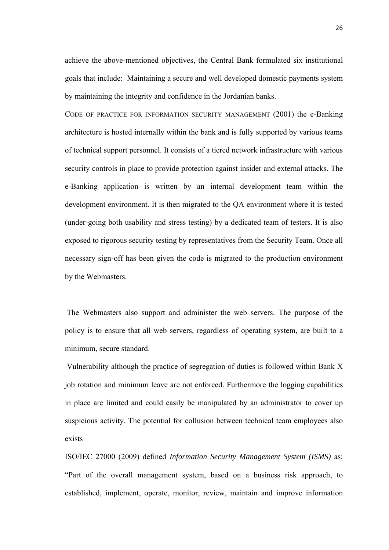achieve the above-mentioned objectives, the Central Bank formulated six institutional goals that include: Maintaining a secure and well developed domestic payments system by maintaining the integrity and confidence in the Jordanian banks.

CODE OF PRACTICE FOR INFORMATION SECURITY MANAGEMENT (2001) the e-Banking architecture is hosted internally within the bank and is fully supported by various teams of technical support personnel. It consists of a tiered network infrastructure with various security controls in place to provide protection against insider and external attacks. The e-Banking application is written by an internal development team within the development environment. It is then migrated to the QA environment where it is tested (under-going both usability and stress testing) by a dedicated team of testers. It is also exposed to rigorous security testing by representatives from the Security Team. Once all necessary sign-off has been given the code is migrated to the production environment by the Webmasters.

 The Webmasters also support and administer the web servers. The purpose of the policy is to ensure that all web servers, regardless of operating system, are built to a minimum, secure standard.

 Vulnerability although the practice of segregation of duties is followed within Bank X job rotation and minimum leave are not enforced. Furthermore the logging capabilities in place are limited and could easily be manipulated by an administrator to cover up suspicious activity. The potential for collusion between technical team employees also exists

ISO/IEC 27000 (2009) defined *Information Security Management System (ISMS)* as: "Part of the overall management system, based on a business risk approach, to established, implement, operate, monitor, review, maintain and improve information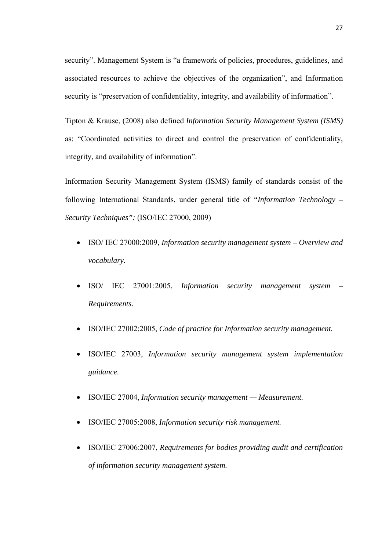security". Management System is "a framework of policies, procedures, guidelines, and associated resources to achieve the objectives of the organization", and Information security is "preservation of confidentiality, integrity, and availability of information".

Tipton & Krause, (2008) also defined *Information Security Management System (ISMS)* as: "Coordinated activities to direct and control the preservation of confidentiality, integrity, and availability of information".

Information Security Management System (ISMS) family of standards consist of the following International Standards, under general title of *"Information Technology – Security Techniques":* (ISO/IEC 27000, 2009)

- ISO/ IEC 27000:2009, *Information security management system Overview and vocabulary.*
- ISO/ IEC 27001:2005, *Information security management system Requirements.*
- ISO/IEC 27002:2005, *Code of practice for Information security management.*
- ISO/IEC 27003, *Information security management system implementation guidance.*
- ISO/IEC 27004, *Information security management Measurement.*
- ISO/IEC 27005:2008, *Information security risk management.*
- ISO/IEC 27006:2007, *Requirements for bodies providing audit and certification of information security management system.*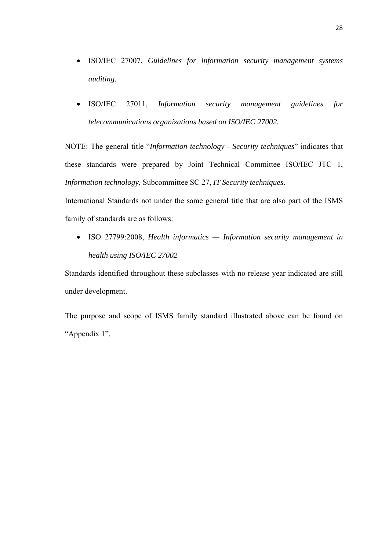- ISO/IEC 27007, *Guidelines for information security management systems auditing.*
- ISO/IEC 27011, *Information security management guidelines for telecommunications organizations based on ISO/IEC 27002.*

NOTE: The general title "*Information technology - Security techniques*" indicates that these standards were prepared by Joint Technical Committee ISO/IEC JTC 1, *Information technology*, Subcommittee SC 27, *IT Security techniques*.

International Standards not under the same general title that are also part of the ISMS family of standards are as follows:

• ISO 27799:2008, *Health informatics — Information security management in health using ISO/IEC 27002* 

Standards identified throughout these subclasses with no release year indicated are still under development.

The purpose and scope of ISMS family standard illustrated above can be found on "Appendix 1".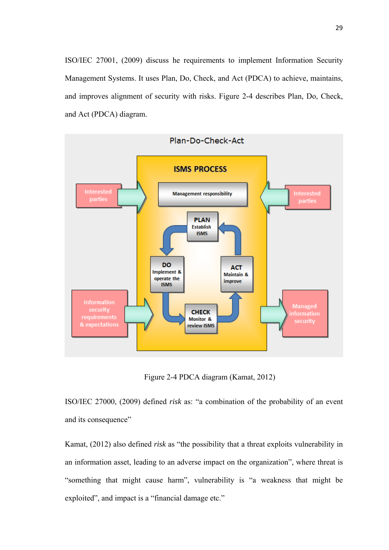ISO/IEC 27001, (2009) discuss he requirements to implement Information Security Management Systems. It uses Plan, Do, Check, and Act (PDCA) to achieve, maintains, and improves alignment of security with risks. Figure 2-4 describes Plan, Do, Check, and Act (PDCA) diagram.



Figure 2-4 PDCA diagram (Kamat, 2012)

ISO/IEC 27000, (2009) defined *risk* as: "a combination of the probability of an event and its consequence"

Kamat, (2012) also defined *risk* as "the possibility that a threat exploits vulnerability in an information asset, leading to an adverse impact on the organization", where threat is "something that might cause harm", vulnerability is "a weakness that might be exploited", and impact is a "financial damage etc."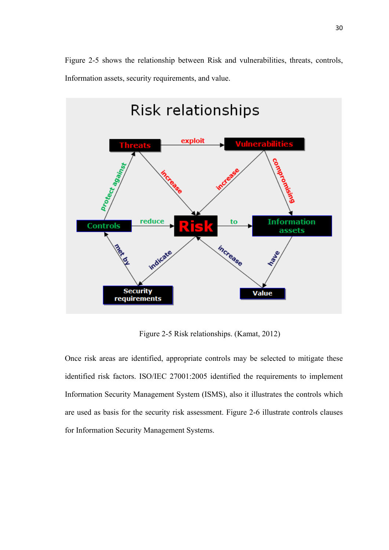Figure 2-5 shows the relationship between Risk and vulnerabilities, threats, controls, Information assets, security requirements, and value.



Figure 2-5 Risk relationships. (Kamat, 2012)

Once risk areas are identified, appropriate controls may be selected to mitigate these identified risk factors. ISO/IEC 27001:2005 identified the requirements to implement Information Security Management System (ISMS), also it illustrates the controls which are used as basis for the security risk assessment. Figure 2-6 illustrate controls clauses for Information Security Management Systems.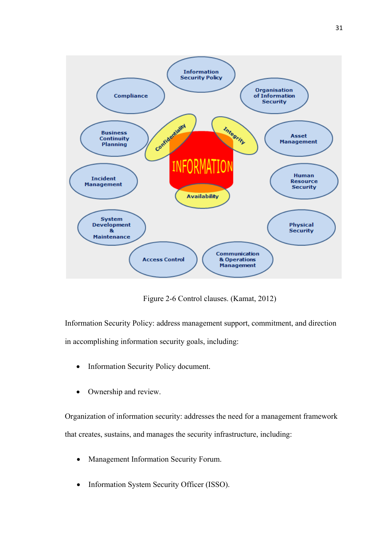

Figure 2-6 Control clauses. (Kamat, 2012)

Information Security Policy: address management support, commitment, and direction in accomplishing information security goals, including:

- Information Security Policy document.
- Ownership and review.

Organization of information security: addresses the need for a management framework that creates, sustains, and manages the security infrastructure, including:

- Management Information Security Forum.
- Information System Security Officer (ISSO).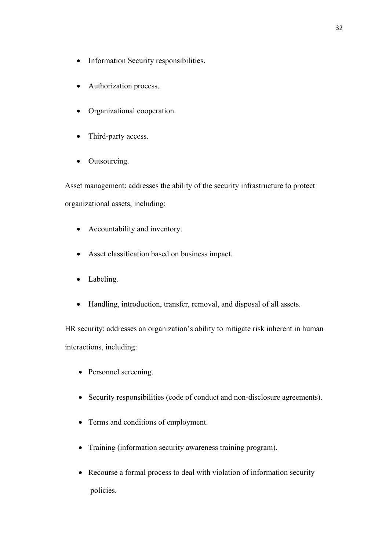- Information Security responsibilities.
- Authorization process.
- Organizational cooperation.
- Third-party access.
- Outsourcing.

Asset management: addresses the ability of the security infrastructure to protect organizational assets, including:

- Accountability and inventory.
- Asset classification based on business impact.
- Labeling.
- Handling, introduction, transfer, removal, and disposal of all assets.

HR security: addresses an organization's ability to mitigate risk inherent in human interactions, including:

- Personnel screening.
- Security responsibilities (code of conduct and non-disclosure agreements).
- Terms and conditions of employment.
- Training (information security awareness training program).
- Recourse a formal process to deal with violation of information security policies.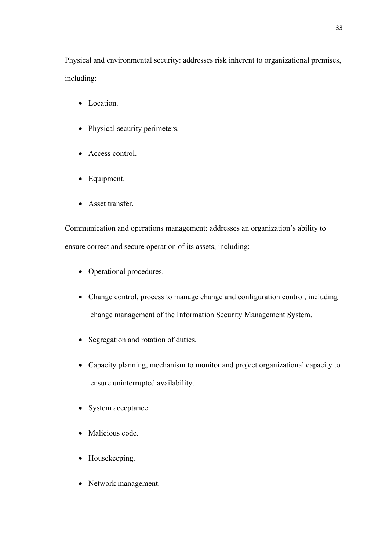Physical and environmental security: addresses risk inherent to organizational premises, including:

- Location.
- Physical security perimeters.
- Access control.
- Equipment.
- Asset transfer.

Communication and operations management: addresses an organization's ability to ensure correct and secure operation of its assets, including:

- Operational procedures.
- Change control, process to manage change and configuration control, including change management of the Information Security Management System.
- Segregation and rotation of duties.
- Capacity planning, mechanism to monitor and project organizational capacity to ensure uninterrupted availability.
- System acceptance.
- Malicious code.
- Housekeeping.
- Network management.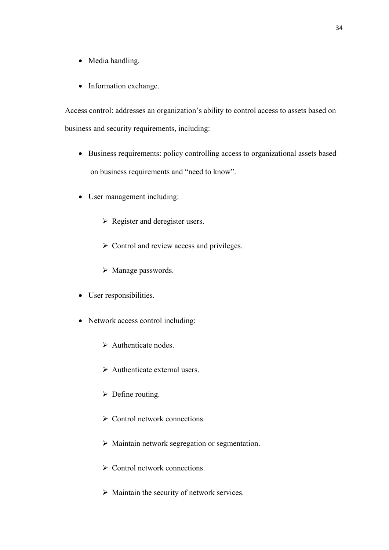- Media handling.
- Information exchange.

Access control: addresses an organization's ability to control access to assets based on business and security requirements, including:

- Business requirements: policy controlling access to organizational assets based on business requirements and "need to know".
- User management including:
	- $\triangleright$  Register and deregister users.
	- $\triangleright$  Control and review access and privileges.
	- $\triangleright$  Manage passwords.
- User responsibilities.
- Network access control including:
	- $\triangleright$  Authenticate nodes.
	- $\triangleright$  Authenticate external users.
	- $\triangleright$  Define routing.
	- $\triangleright$  Control network connections.
	- $\triangleright$  Maintain network segregation or segmentation.
	- $\triangleright$  Control network connections.
	- $\triangleright$  Maintain the security of network services.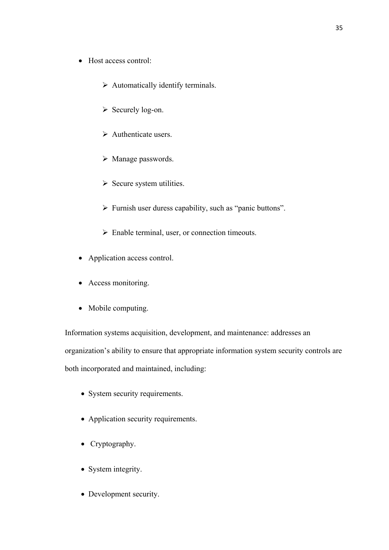- Host access control:
	- $\triangleright$  Automatically identify terminals.
	- ¾ Securely log-on.
	- $\triangleright$  Authenticate users.
	- ¾ Manage passwords.
	- $\triangleright$  Secure system utilities.
	- $\triangleright$  Furnish user duress capability, such as "panic buttons".
	- $\triangleright$  Enable terminal, user, or connection timeouts.
- Application access control.
- Access monitoring.
- Mobile computing.

Information systems acquisition, development, and maintenance: addresses an organization's ability to ensure that appropriate information system security controls are both incorporated and maintained, including:

- System security requirements.
- Application security requirements.
- Cryptography.
- System integrity.
- Development security.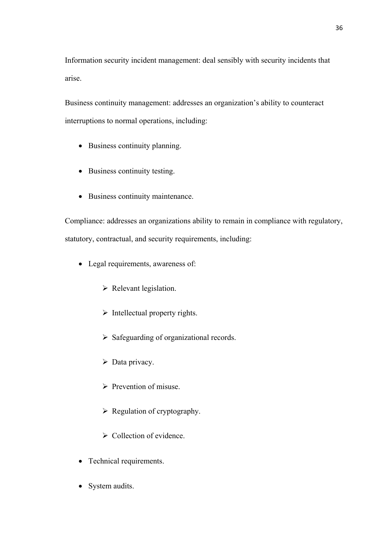Information security incident management: deal sensibly with security incidents that arise.

Business continuity management: addresses an organization's ability to counteract interruptions to normal operations, including:

- Business continuity planning.
- Business continuity testing.
- Business continuity maintenance.

Compliance: addresses an organizations ability to remain in compliance with regulatory, statutory, contractual, and security requirements, including:

- Legal requirements, awareness of:
	- $\triangleright$  Relevant legislation.
	- $\triangleright$  Intellectual property rights.
	- $\triangleright$  Safeguarding of organizational records.
	- $\triangleright$  Data privacy.
	- $\triangleright$  Prevention of misuse.
	- $\triangleright$  Regulation of cryptography.
	- $\triangleright$  Collection of evidence.
- Technical requirements.
- System audits.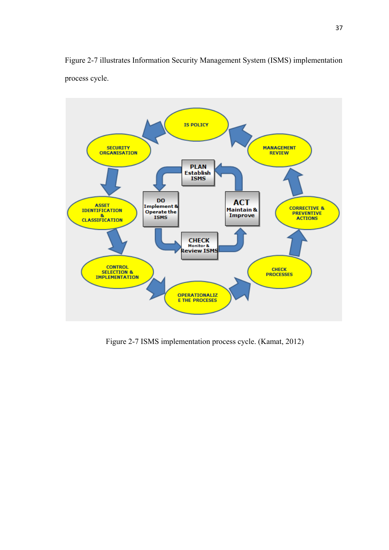Figure 2-7 illustrates Information Security Management System (ISMS) implementation process cycle.



Figure 2-7 ISMS implementation process cycle. (Kamat, 2012)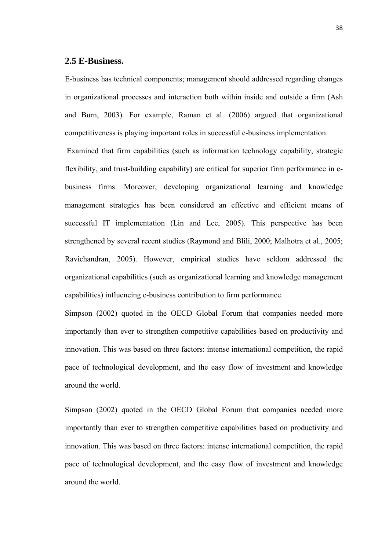### **2.5 E-Business.**

E-business has technical components; management should addressed regarding changes in organizational processes and interaction both within inside and outside a firm (Ash and Burn, 2003). For example, Raman et al. (2006) argued that organizational competitiveness is playing important roles in successful e-business implementation.

 Examined that firm capabilities (such as information technology capability, strategic flexibility, and trust-building capability) are critical for superior firm performance in ebusiness firms. Moreover, developing organizational learning and knowledge management strategies has been considered an effective and efficient means of successful IT implementation (Lin and Lee, 2005). This perspective has been strengthened by several recent studies (Raymond and Blili, 2000; Malhotra et al., 2005; Ravichandran, 2005). However, empirical studies have seldom addressed the organizational capabilities (such as organizational learning and knowledge management capabilities) influencing e-business contribution to firm performance.

Simpson (2002) quoted in the OECD Global Forum that companies needed more importantly than ever to strengthen competitive capabilities based on productivity and innovation. This was based on three factors: intense international competition, the rapid pace of technological development, and the easy flow of investment and knowledge around the world.

Simpson (2002) quoted in the OECD Global Forum that companies needed more importantly than ever to strengthen competitive capabilities based on productivity and innovation. This was based on three factors: intense international competition, the rapid pace of technological development, and the easy flow of investment and knowledge around the world.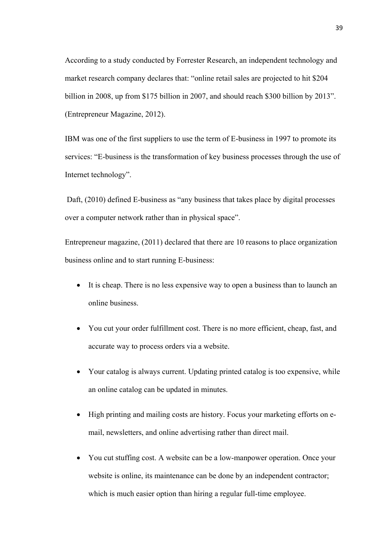According to a study conducted by Forrester Research, an independent technology and market research company declares that: "online retail sales are projected to hit \$204 billion in 2008, up from \$175 billion in 2007, and should reach \$300 billion by 2013". (Entrepreneur Magazine, 2012).

IBM was one of the first suppliers to use the term of E-business in 1997 to promote its services: "E-business is the transformation of key business processes through the use of Internet technology".

 Daft, (2010) defined E-business as "any business that takes place by digital processes over a computer network rather than in physical space".

Entrepreneur magazine, (2011) declared that there are 10 reasons to place organization business online and to start running E-business:

- It is cheap. There is no less expensive way to open a business than to launch an online business.
- You cut your order fulfillment cost. There is no more efficient, cheap, fast, and accurate way to process orders via a website.
- Your catalog is always current. Updating printed catalog is too expensive, while an online catalog can be updated in minutes.
- High printing and mailing costs are history. Focus your marketing efforts on email, newsletters, and online advertising rather than direct mail.
- You cut stuffing cost. A website can be a low-manpower operation. Once your website is online, its maintenance can be done by an independent contractor; which is much easier option than hiring a regular full-time employee.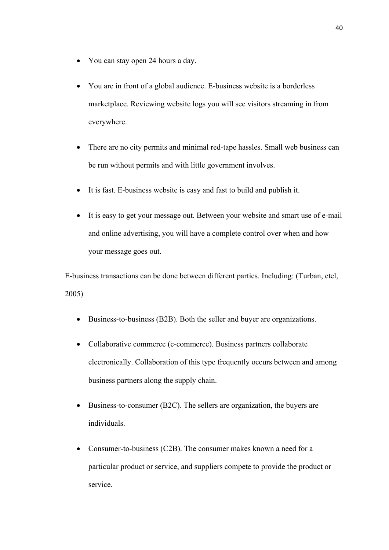- You can stay open 24 hours a day.
- You are in front of a global audience. E-business website is a borderless marketplace. Reviewing website logs you will see visitors streaming in from everywhere.
- There are no city permits and minimal red-tape hassles. Small web business can be run without permits and with little government involves.
- It is fast. E-business website is easy and fast to build and publish it.
- It is easy to get your message out. Between your website and smart use of e-mail and online advertising, you will have a complete control over when and how your message goes out.

E-business transactions can be done between different parties. Including: (Turban, etel, 2005)

- Business-to-business (B2B). Both the seller and buyer are organizations.
- Collaborative commerce (c-commerce). Business partners collaborate electronically. Collaboration of this type frequently occurs between and among business partners along the supply chain.
- Business-to-consumer (B2C). The sellers are organization, the buyers are individuals.
- Consumer-to-business (C2B). The consumer makes known a need for a particular product or service, and suppliers compete to provide the product or service.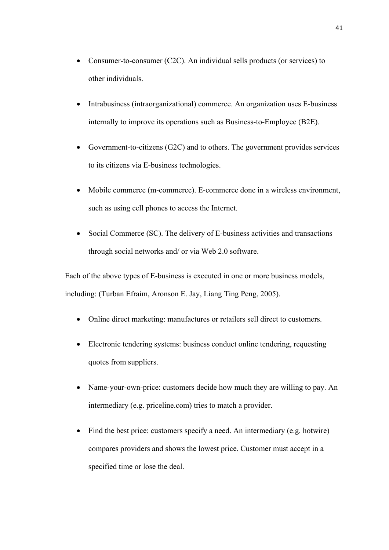- Consumer-to-consumer (C2C). An individual sells products (or services) to other individuals.
- Intrabusiness (intraorganizational) commerce. An organization uses E-business internally to improve its operations such as Business-to-Employee (B2E).
- Government-to-citizens (G2C) and to others. The government provides services to its citizens via E-business technologies.
- Mobile commerce (m-commerce). E-commerce done in a wireless environment, such as using cell phones to access the Internet.
- Social Commerce (SC). The delivery of E-business activities and transactions through social networks and/ or via Web 2.0 software.

Each of the above types of E-business is executed in one or more business models, including: (Turban Efraim, Aronson E. Jay, Liang Ting Peng, 2005).

- Online direct marketing: manufactures or retailers sell direct to customers.
- Electronic tendering systems: business conduct online tendering, requesting quotes from suppliers.
- Name-your-own-price: customers decide how much they are willing to pay. An intermediary (e.g. priceline.com) tries to match a provider.
- Find the best price: customers specify a need. An intermediary (e.g. hotwire) compares providers and shows the lowest price. Customer must accept in a specified time or lose the deal.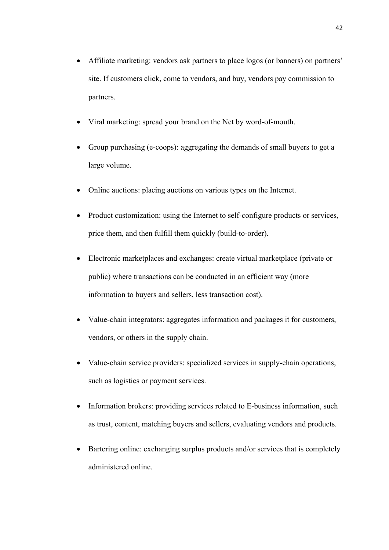- Affiliate marketing: vendors ask partners to place logos (or banners) on partners' site. If customers click, come to vendors, and buy, vendors pay commission to partners.
- Viral marketing: spread your brand on the Net by word-of-mouth.
- Group purchasing (e-coops): aggregating the demands of small buyers to get a large volume.
- Online auctions: placing auctions on various types on the Internet.
- Product customization: using the Internet to self-configure products or services, price them, and then fulfill them quickly (build-to-order).
- Electronic marketplaces and exchanges: create virtual marketplace (private or public) where transactions can be conducted in an efficient way (more information to buyers and sellers, less transaction cost).
- Value-chain integrators: aggregates information and packages it for customers, vendors, or others in the supply chain.
- Value-chain service providers: specialized services in supply-chain operations, such as logistics or payment services.
- Information brokers: providing services related to E-business information, such as trust, content, matching buyers and sellers, evaluating vendors and products.
- Bartering online: exchanging surplus products and/or services that is completely administered online.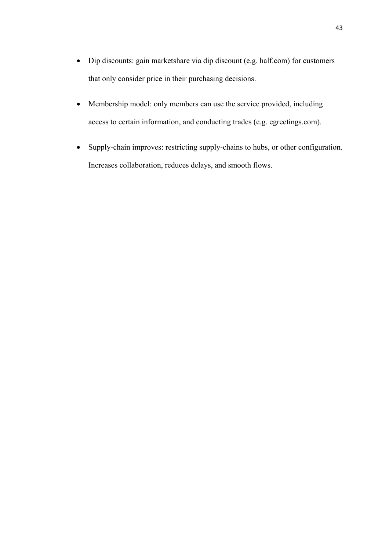- Dip discounts: gain marketshare via dip discount (e.g. half.com) for customers that only consider price in their purchasing decisions.
- Membership model: only members can use the service provided, including access to certain information, and conducting trades (e.g. egreetings.com).
- Supply-chain improves: restricting supply-chains to hubs, or other configuration. Increases collaboration, reduces delays, and smooth flows.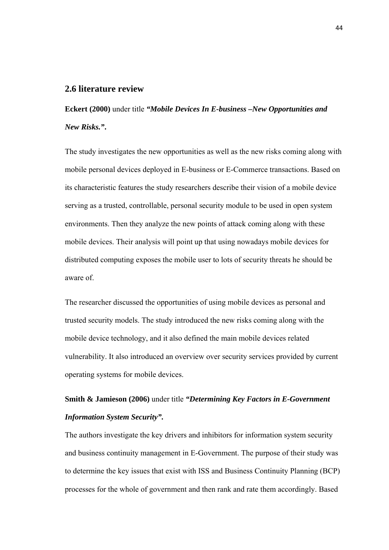#### **2.6 literature review**

**Eckert (2000)** under title *"Mobile Devices In E-business –New Opportunities and New Risks."***.** 

The study investigates the new opportunities as well as the new risks coming along with mobile personal devices deployed in E-business or E-Commerce transactions. Based on its characteristic features the study researchers describe their vision of a mobile device serving as a trusted, controllable, personal security module to be used in open system environments. Then they analyze the new points of attack coming along with these mobile devices. Their analysis will point up that using nowadays mobile devices for distributed computing exposes the mobile user to lots of security threats he should be aware of.

The researcher discussed the opportunities of using mobile devices as personal and trusted security models. The study introduced the new risks coming along with the mobile device technology, and it also defined the main mobile devices related vulnerability. It also introduced an overview over security services provided by current operating systems for mobile devices.

# **Smith & Jamieson (2006)** under title *"Determining Key Factors in E-Government Information System Security".*

The authors investigate the key drivers and inhibitors for information system security and business continuity management in E-Government. The purpose of their study was to determine the key issues that exist with ISS and Business Continuity Planning (BCP) processes for the whole of government and then rank and rate them accordingly. Based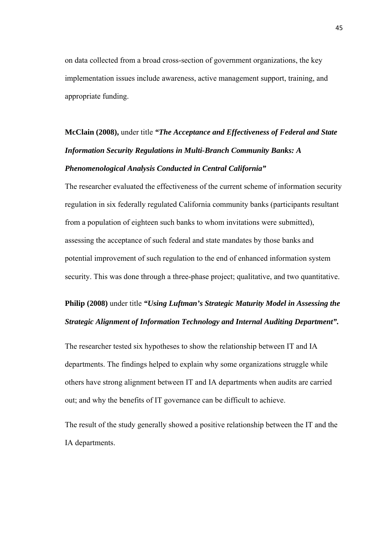on data collected from a broad cross-section of government organizations, the key implementation issues include awareness, active management support, training, and appropriate funding.

# **McClain (2008),** under title *"The Acceptance and Effectiveness of Federal and State Information Security Regulations in Multi-Branch Community Banks: A Phenomenological Analysis Conducted in Central California"*

The researcher evaluated the effectiveness of the current scheme of information security regulation in six federally regulated California community banks (participants resultant from a population of eighteen such banks to whom invitations were submitted), assessing the acceptance of such federal and state mandates by those banks and potential improvement of such regulation to the end of enhanced information system security. This was done through a three-phase project; qualitative, and two quantitative.

# **Philip (2008)** under title *"Using Luftman's Strategic Maturity Model in Assessing the Strategic Alignment of Information Technology and Internal Auditing Department".*

The researcher tested six hypotheses to show the relationship between IT and IA departments. The findings helped to explain why some organizations struggle while others have strong alignment between IT and IA departments when audits are carried out; and why the benefits of IT governance can be difficult to achieve.

The result of the study generally showed a positive relationship between the IT and the IA departments.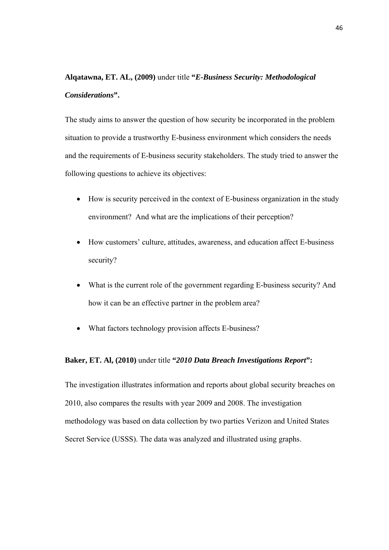# **Alqatawna, ET. AL, (2009)** under title **"***E-Business Security: Methodological Considerations***".**

The study aims to answer the question of how security be incorporated in the problem situation to provide a trustworthy E-business environment which considers the needs and the requirements of E-business security stakeholders. The study tried to answer the following questions to achieve its objectives:

- How is security perceived in the context of E-business organization in the study environment? And what are the implications of their perception?
- How customers' culture, attitudes, awareness, and education affect E-business security?
- What is the current role of the government regarding E-business security? And how it can be an effective partner in the problem area?
- What factors technology provision affects E-business?

#### **Baker, ET. Al, (2010)** under title **"***2010 Data Breach Investigations Report***":**

The investigation illustrates information and reports about global security breaches on 2010, also compares the results with year 2009 and 2008. The investigation methodology was based on data collection by two parties Verizon and United States Secret Service (USSS). The data was analyzed and illustrated using graphs.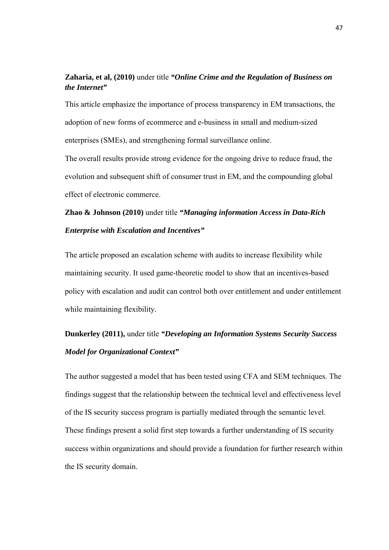## **Zaharia, et al, (2010)** under title *"Online Crime and the Regulation of Business on the Internet"*

This article emphasize the importance of process transparency in EM transactions, the adoption of new forms of ecommerce and e-business in small and medium-sized enterprises (SMEs), and strengthening formal surveillance online.

The overall results provide strong evidence for the ongoing drive to reduce fraud, the evolution and subsequent shift of consumer trust in EM, and the compounding global effect of electronic commerce.

# **Zhao & Johnson (2010)** under title *"Managing information Access in Data-Rich Enterprise with Escalation and Incentives"*

The article proposed an escalation scheme with audits to increase flexibility while maintaining security. It used game-theoretic model to show that an incentives-based policy with escalation and audit can control both over entitlement and under entitlement while maintaining flexibility.

# **Dunkerley (2011),** under title *"Developing an Information Systems Security Success Model for Organizational Context"*

The author suggested a model that has been tested using CFA and SEM techniques. The findings suggest that the relationship between the technical level and effectiveness level of the IS security success program is partially mediated through the semantic level. These findings present a solid first step towards a further understanding of IS security success within organizations and should provide a foundation for further research within the IS security domain.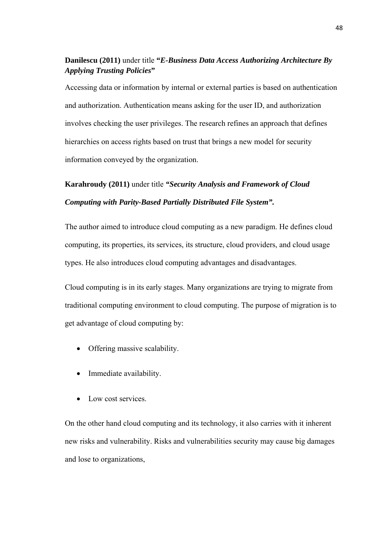## **Danilescu (2011)** under title **"***E-Business Data Access Authorizing Architecture By Applying Trusting Policies***"**

Accessing data or information by internal or external parties is based on authentication and authorization. Authentication means asking for the user ID, and authorization involves checking the user privileges. The research refines an approach that defines hierarchies on access rights based on trust that brings a new model for security information conveyed by the organization.

# **Karahroudy (2011)** under title *"Security Analysis and Framework of Cloud Computing with Parity-Based Partially Distributed File System".*

The author aimed to introduce cloud computing as a new paradigm. He defines cloud computing, its properties, its services, its structure, cloud providers, and cloud usage types. He also introduces cloud computing advantages and disadvantages.

Cloud computing is in its early stages. Many organizations are trying to migrate from traditional computing environment to cloud computing. The purpose of migration is to get advantage of cloud computing by:

- Offering massive scalability.
- Immediate availability.
- Low cost services.

On the other hand cloud computing and its technology, it also carries with it inherent new risks and vulnerability. Risks and vulnerabilities security may cause big damages and lose to organizations,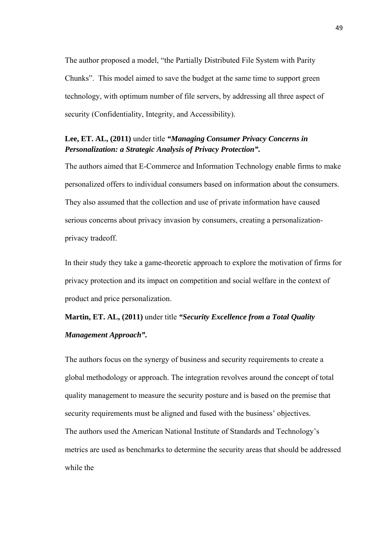The author proposed a model, "the Partially Distributed File System with Parity Chunks". This model aimed to save the budget at the same time to support green technology, with optimum number of file servers, by addressing all three aspect of security (Confidentiality, Integrity, and Accessibility).

### **Lee, ET. AL, (2011)** under title *"Managing Consumer Privacy Concerns in Personalization: a Strategic Analysis of Privacy Protection".*

The authors aimed that E-Commerce and Information Technology enable firms to make personalized offers to individual consumers based on information about the consumers. They also assumed that the collection and use of private information have caused serious concerns about privacy invasion by consumers, creating a personalizationprivacy tradeoff.

In their study they take a game-theoretic approach to explore the motivation of firms for privacy protection and its impact on competition and social welfare in the context of product and price personalization.

# **Martin, ET. AL, (2011)** under title *"Security Excellence from a Total Quality Management Approach".*

The authors focus on the synergy of business and security requirements to create a global methodology or approach. The integration revolves around the concept of total quality management to measure the security posture and is based on the premise that security requirements must be aligned and fused with the business' objectives. The authors used the American National Institute of Standards and Technology's metrics are used as benchmarks to determine the security areas that should be addressed while the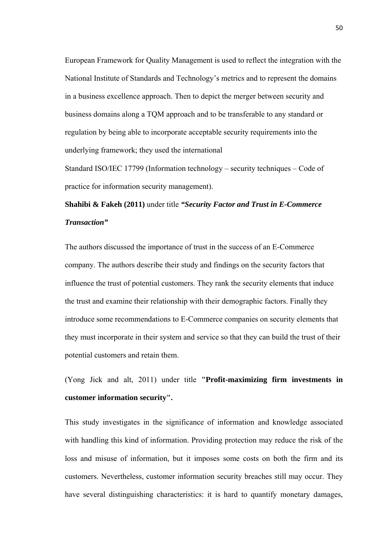European Framework for Quality Management is used to reflect the integration with the National Institute of Standards and Technology's metrics and to represent the domains in a business excellence approach. Then to depict the merger between security and business domains along a TQM approach and to be transferable to any standard or regulation by being able to incorporate acceptable security requirements into the underlying framework; they used the international

Standard ISO/IEC 17799 (Information technology – security techniques – Code of practice for information security management).

# **Shahibi & Fakeh (2011)** under title *"Security Factor and Trust in E-Commerce Transaction"*

The authors discussed the importance of trust in the success of an E-Commerce company. The authors describe their study and findings on the security factors that influence the trust of potential customers. They rank the security elements that induce the trust and examine their relationship with their demographic factors. Finally they introduce some recommendations to E-Commerce companies on security elements that they must incorporate in their system and service so that they can build the trust of their potential customers and retain them.

(Yong Jick and alt, 2011) under title **"Profit-maximizing firm investments in customer information security".** 

This study investigates in the significance of information and knowledge associated with handling this kind of information. Providing protection may reduce the risk of the loss and misuse of information, but it imposes some costs on both the firm and its customers. Nevertheless, customer information security breaches still may occur. They have several distinguishing characteristics: it is hard to quantify monetary damages,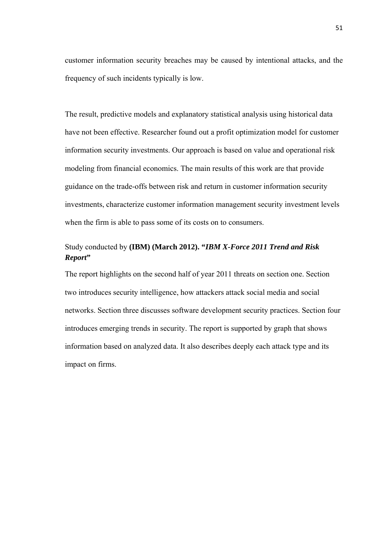customer information security breaches may be caused by intentional attacks, and the frequency of such incidents typically is low.

The result, predictive models and explanatory statistical analysis using historical data have not been effective. Researcher found out a profit optimization model for customer information security investments. Our approach is based on value and operational risk modeling from financial economics. The main results of this work are that provide guidance on the trade-offs between risk and return in customer information security investments, characterize customer information management security investment levels when the firm is able to pass some of its costs on to consumers.

### Study conducted by **(IBM) (March 2012). "***IBM X-Force 2011 Trend and Risk Report***"**

The report highlights on the second half of year 2011 threats on section one. Section two introduces security intelligence, how attackers attack social media and social networks. Section three discusses software development security practices. Section four introduces emerging trends in security. The report is supported by graph that shows information based on analyzed data. It also describes deeply each attack type and its impact on firms.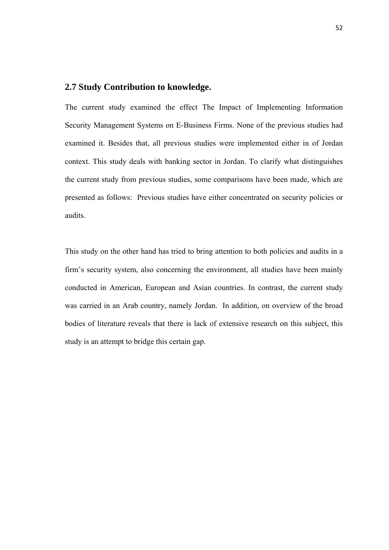#### **2.7 Study Contribution to knowledge.**

The current study examined the effect The Impact of Implementing Information Security Management Systems on E-Business Firms. None of the previous studies had examined it. Besides that, all previous studies were implemented either in of Jordan context. This study deals with banking sector in Jordan. To clarify what distinguishes the current study from previous studies, some comparisons have been made, which are presented as follows: Previous studies have either concentrated on security policies or audits.

This study on the other hand has tried to bring attention to both policies and audits in a firm's security system, also concerning the environment, all studies have been mainly conducted in American, European and Asian countries. In contrast, the current study was carried in an Arab country, namely Jordan. In addition, on overview of the broad bodies of literature reveals that there is lack of extensive research on this subject, this study is an attempt to bridge this certain gap.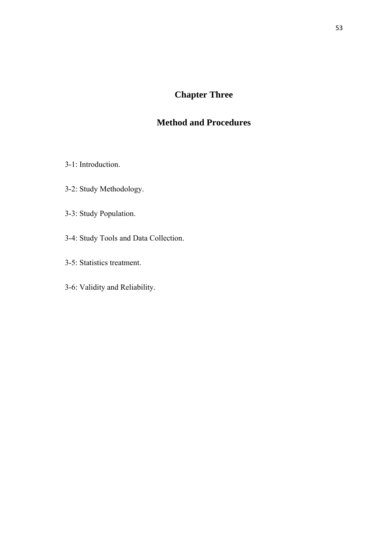# **Chapter Three**

# **Method and Procedures**

- 3-1: Introduction.
- 3-2: Study Methodology.
- 3-3: Study Population.
- 3-4: Study Tools and Data Collection.
- 3-5: Statistics treatment.
- 3-6: Validity and Reliability.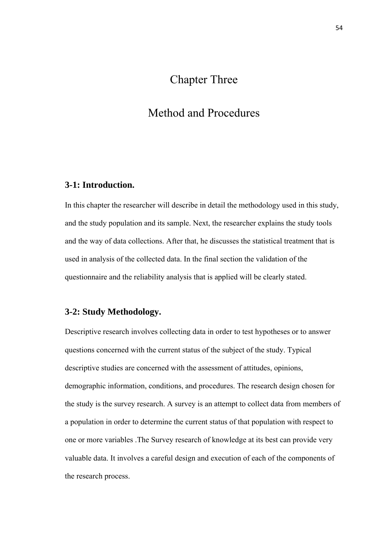# Chapter Three

# Method and Procedures

### **3-1: Introduction.**

In this chapter the researcher will describe in detail the methodology used in this study, and the study population and its sample. Next, the researcher explains the study tools and the way of data collections. After that, he discusses the statistical treatment that is used in analysis of the collected data. In the final section the validation of the questionnaire and the reliability analysis that is applied will be clearly stated.

### **3-2: Study Methodology.**

Descriptive research involves collecting data in order to test hypotheses or to answer questions concerned with the current status of the subject of the study. Typical descriptive studies are concerned with the assessment of attitudes, opinions, demographic information, conditions, and procedures. The research design chosen for the study is the survey research. A survey is an attempt to collect data from members of a population in order to determine the current status of that population with respect to one or more variables .The Survey research of knowledge at its best can provide very valuable data. It involves a careful design and execution of each of the components of the research process.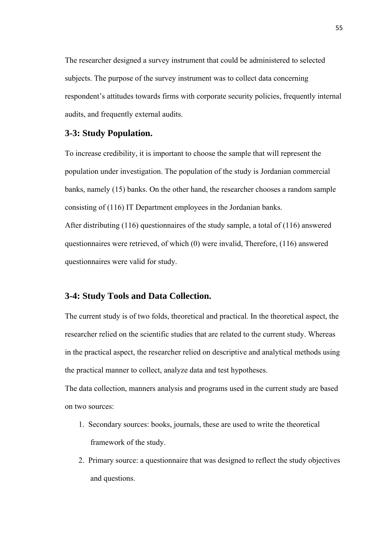The researcher designed a survey instrument that could be administered to selected subjects. The purpose of the survey instrument was to collect data concerning respondent's attitudes towards firms with corporate security policies, frequently internal audits, and frequently external audits.

### **3-3: Study Population.**

To increase credibility, it is important to choose the sample that will represent the population under investigation. The population of the study is Jordanian commercial banks, namely (15) banks. On the other hand, the researcher chooses a random sample consisting of (116) IT Department employees in the Jordanian banks.

After distributing (116) questionnaires of the study sample, a total of (116) answered questionnaires were retrieved, of which (0) were invalid, Therefore, (116) answered questionnaires were valid for study.

### **3-4: Study Tools and Data Collection.**

The current study is of two folds, theoretical and practical. In the theoretical aspect, the researcher relied on the scientific studies that are related to the current study. Whereas in the practical aspect, the researcher relied on descriptive and analytical methods using the practical manner to collect, analyze data and test hypotheses.

The data collection, manners analysis and programs used in the current study are based on two sources:

- 1. Secondary sources: books, journals, these are used to write the theoretical framework of the study.
- 2. Primary source: a questionnaire that was designed to reflect the study objectives and questions.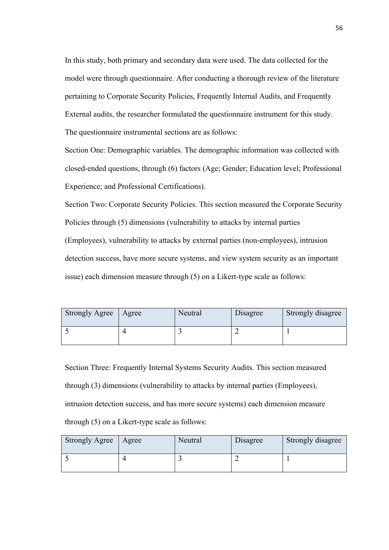In this study, both primary and secondary data were used. The data collected for the model were through questionnaire. After conducting a thorough review of the literature pertaining to Corporate Security Policies, Frequently Internal Audits, and Frequently External audits, the researcher formulated the questionnaire instrument for this study. The questionnaire instrumental sections are as follows:

Section One: Demographic variables. The demographic information was collected with closed-ended questions, through (6) factors (Age; Gender; Education level; Professional Experience; and Professional Certifications).

Section Two: Corporate Security Policies. This section measured the Corporate Security Policies through (5) dimensions (vulnerability to attacks by internal parties (Employees), vulnerability to attacks by external parties (non-employees), intrusion detection success, have more secure systems, and view system security as an important issue) each dimension measure through (5) on a Likert-type scale as follows:

| <b>Strongly Agree</b> | Agree | Neutral | Disagree | Strongly disagree |
|-----------------------|-------|---------|----------|-------------------|
|                       |       |         |          |                   |

Section Three: Frequently Internal Systems Security Audits. This section measured through (3) dimensions (vulnerability to attacks by internal parties (Employees), intrusion detection success, and has more secure systems) each dimension measure through (5) on a Likert-type scale as follows:

| <b>Strongly Agree</b> | Agree | Neutral | Disagree | Strongly disagree |
|-----------------------|-------|---------|----------|-------------------|
|                       |       |         |          |                   |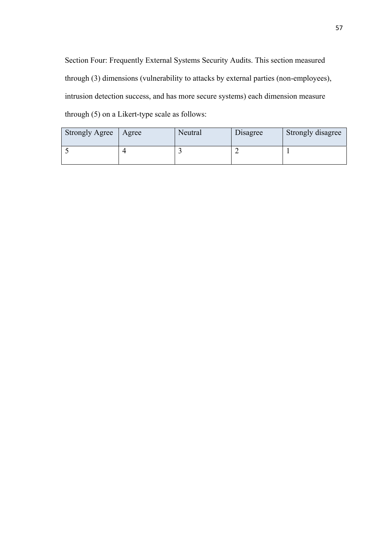Section Four: Frequently External Systems Security Audits. This section measured through (3) dimensions (vulnerability to attacks by external parties (non-employees), intrusion detection success, and has more secure systems) each dimension measure through (5) on a Likert-type scale as follows:

| <b>Strongly Agree</b> | Agree | Neutral | Disagree | Strongly disagree |
|-----------------------|-------|---------|----------|-------------------|
|                       |       |         |          |                   |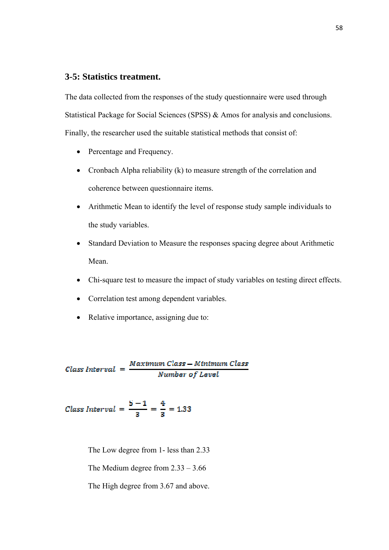### **3-5: Statistics treatment.**

The data collected from the responses of the study questionnaire were used through Statistical Package for Social Sciences (SPSS) & Amos for analysis and conclusions. Finally, the researcher used the suitable statistical methods that consist of:

- Percentage and Frequency.
- Cronbach Alpha reliability (k) to measure strength of the correlation and coherence between questionnaire items.
- Arithmetic Mean to identify the level of response study sample individuals to the study variables.
- Standard Deviation to Measure the responses spacing degree about Arithmetic Mean.
- Chi-square test to measure the impact of study variables on testing direct effects.
- Correlation test among dependent variables.
- Relative importance, assigning due to:

 $\label{class-entropy} Class~Interval = \frac{Maximum~Class - Minimum~Class}{Number~of~Level}$ 

Class Interval = 
$$
\frac{5-1}{3} = \frac{4}{3} = 1.33
$$

The Low degree from 1- less than 2.33

The Medium degree from  $2.33 - 3.66$ 

The High degree from 3.67 and above.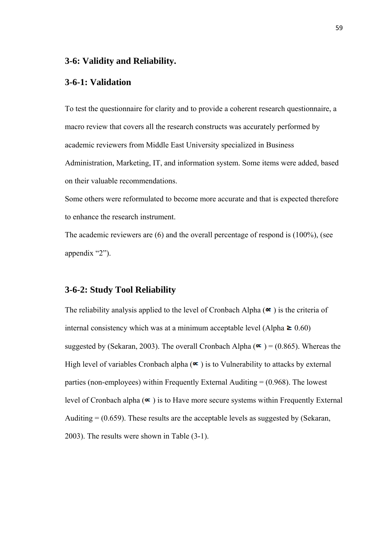#### **3-6: Validity and Reliability.**

#### **3-6-1: Validation**

To test the questionnaire for clarity and to provide a coherent research questionnaire, a macro review that covers all the research constructs was accurately performed by academic reviewers from Middle East University specialized in Business Administration, Marketing, IT, and information system. Some items were added, based on their valuable recommendations.

Some others were reformulated to become more accurate and that is expected therefore to enhance the research instrument.

The academic reviewers are (6) and the overall percentage of respond is (100%), (see appendix "2").

### **3-6-2: Study Tool Reliability**

The reliability analysis applied to the level of Cronbach Alpha  $(\alpha)$  is the criteria of internal consistency which was at a minimum acceptable level (Alpha  $\geq 0.60$ ) suggested by (Sekaran, 2003). The overall Cronbach Alpha ( $\infty$ ) = (0.865). Whereas the High level of variables Cronbach alpha  $(\infty)$  is to Vulnerability to attacks by external parties (non-employees) within Frequently External Auditing = (0.968). The lowest level of Cronbach alpha  $(\infty)$  is to Have more secure systems within Frequently External Auditing  $= (0.659)$ . These results are the acceptable levels as suggested by (Sekaran, 2003). The results were shown in Table (3-1).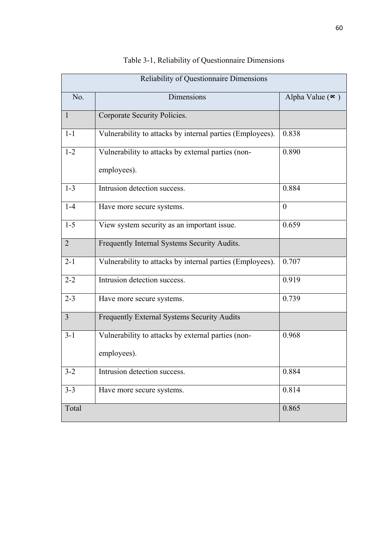| Reliability of Questionnaire Dimensions |                                                           |                        |  |  |
|-----------------------------------------|-----------------------------------------------------------|------------------------|--|--|
| No.                                     | Dimensions                                                | Alpha Value $(\alpha)$ |  |  |
| $\mathbf{1}$                            | Corporate Security Policies.                              |                        |  |  |
| $1 - 1$                                 | Vulnerability to attacks by internal parties (Employees). | 0.838                  |  |  |
| $1 - 2$                                 | Vulnerability to attacks by external parties (non-        | 0.890                  |  |  |
|                                         | employees).                                               |                        |  |  |
| $1 - 3$                                 | Intrusion detection success.                              | 0.884                  |  |  |
| $1-4$                                   | Have more secure systems.                                 | $\theta$               |  |  |
| $1 - 5$                                 | View system security as an important issue.               | 0.659                  |  |  |
| $\overline{2}$                          | Frequently Internal Systems Security Audits.              |                        |  |  |
| $2 - 1$                                 | Vulnerability to attacks by internal parties (Employees). | 0.707                  |  |  |
| $2 - 2$                                 | Intrusion detection success.                              | 0.919                  |  |  |
| $2 - 3$                                 | Have more secure systems.                                 | 0.739                  |  |  |
| $\overline{3}$                          | Frequently External Systems Security Audits               |                        |  |  |
| $3 - 1$                                 | Vulnerability to attacks by external parties (non-        | 0.968                  |  |  |
|                                         | employees).                                               |                        |  |  |
| $3 - 2$                                 | Intrusion detection success.                              | 0.884                  |  |  |
| $3 - 3$                                 | Have more secure systems.                                 | 0.814                  |  |  |
| Total                                   |                                                           | 0.865                  |  |  |

## Table 3-1, Reliability of Questionnaire Dimensions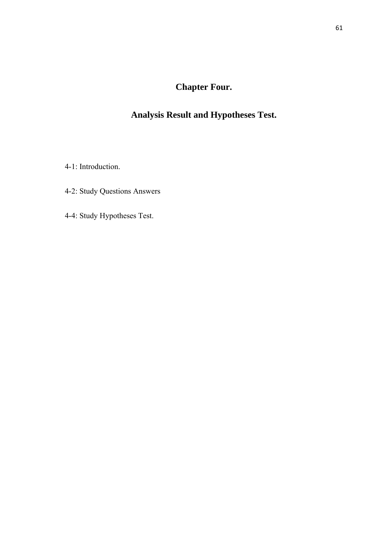# **Chapter Four.**

# **Analysis Result and Hypotheses Test.**

4-1: Introduction.

4-2: Study Questions Answers

4-4: Study Hypotheses Test.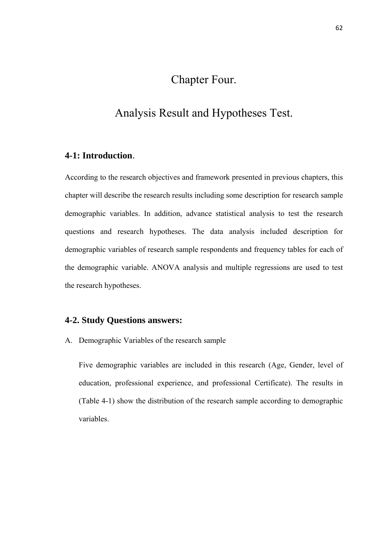# Chapter Four.

# Analysis Result and Hypotheses Test.

### **4-1: Introduction**.

According to the research objectives and framework presented in previous chapters, this chapter will describe the research results including some description for research sample demographic variables. In addition, advance statistical analysis to test the research questions and research hypotheses. The data analysis included description for demographic variables of research sample respondents and frequency tables for each of the demographic variable. ANOVA analysis and multiple regressions are used to test the research hypotheses.

### **4-2. Study Questions answers:**

A. Demographic Variables of the research sample

Five demographic variables are included in this research (Age, Gender, level of education, professional experience, and professional Certificate). The results in (Table 4-1) show the distribution of the research sample according to demographic variables.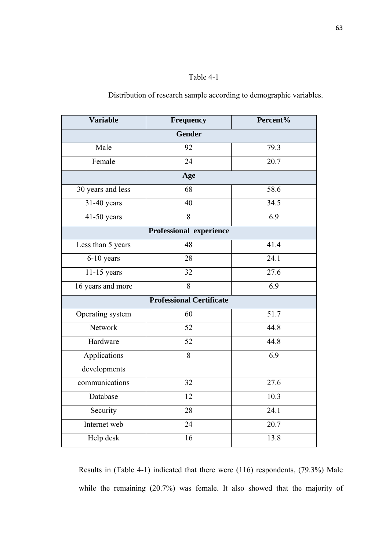## Table 4-1

Distribution of research sample according to demographic variables.

| <b>Variable</b>   | Frequency                       | Percent%         |  |  |
|-------------------|---------------------------------|------------------|--|--|
| Gender            |                                 |                  |  |  |
| Male              | 92                              | 79.3             |  |  |
| Female            | $\overline{24}$                 | 20.7             |  |  |
|                   | Age                             |                  |  |  |
| 30 years and less | 68                              | 58.6             |  |  |
| $31-40$ years     | 40                              | 34.5             |  |  |
| $41-50$ years     | $\overline{8}$                  | 6.9              |  |  |
|                   | Professional experience         |                  |  |  |
| Less than 5 years | 48                              | 41.4             |  |  |
| 6-10 years        | 28                              | 24.1             |  |  |
| $11-15$ years     | 32                              | 27.6             |  |  |
| 16 years and more | $\overline{8}$                  | $\overline{6.9}$ |  |  |
|                   | <b>Professional Certificate</b> |                  |  |  |
| Operating system  | 60                              | 51.7             |  |  |
| Network           | 52                              | 44.8             |  |  |
| Hardware          | 52                              | 44.8             |  |  |
| Applications      | $\overline{8}$                  | 6.9              |  |  |
| developments      |                                 |                  |  |  |
| communications    | 32                              | 27.6             |  |  |
| Database          | 12                              | 10.3             |  |  |
| Security          | 28                              | 24.1             |  |  |
| Internet web      | $\overline{24}$                 | 20.7             |  |  |
| Help desk         | 16                              | 13.8             |  |  |

Results in (Table 4-1) indicated that there were (116) respondents, (79.3%) Male while the remaining (20.7%) was female. It also showed that the majority of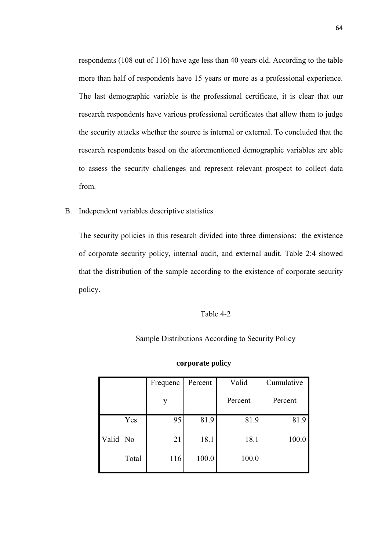respondents (108 out of 116) have age less than 40 years old. According to the table more than half of respondents have 15 years or more as a professional experience. The last demographic variable is the professional certificate, it is clear that our research respondents have various professional certificates that allow them to judge the security attacks whether the source is internal or external. To concluded that the research respondents based on the aforementioned demographic variables are able to assess the security challenges and represent relevant prospect to collect data from.

B. Independent variables descriptive statistics

The security policies in this research divided into three dimensions: the existence of corporate security policy, internal audit, and external audit. Table 2:4 showed that the distribution of the sample according to the existence of corporate security policy.

#### Table 4-2

#### Sample Distributions According to Security Policy

|          |       | Frequenc | Percent | Valid   | Cumulative |
|----------|-------|----------|---------|---------|------------|
|          |       | у        |         | Percent | Percent    |
|          | Yes   | 95       | 81.9    | 81.9    | 81.9       |
| Valid No |       | 21       | 18.1    | 18.1    | 100.0      |
|          | Total | 116      | 100.0   | 100.0   |            |

#### **corporate policy**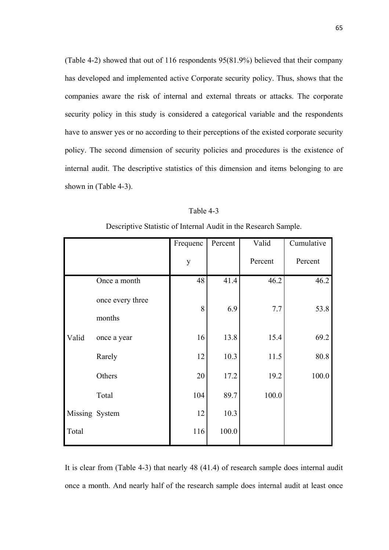(Table 4-2) showed that out of 116 respondents 95(81.9%) believed that their company has developed and implemented active Corporate security policy. Thus, shows that the companies aware the risk of internal and external threats or attacks. The corporate security policy in this study is considered a categorical variable and the respondents have to answer yes or no according to their perceptions of the existed corporate security policy. The second dimension of security policies and procedures is the existence of internal audit. The descriptive statistics of this dimension and items belonging to are shown in (Table 4-3).

| able |  |
|------|--|
|      |  |

Descriptive Statistic of Internal Audit in the Research Sample.

|                |                            | Frequenc | Percent | Valid   | Cumulative |
|----------------|----------------------------|----------|---------|---------|------------|
|                |                            | y        |         | Percent | Percent    |
|                | Once a month               | 48       | 41.4    | 46.2    | 46.2       |
|                | once every three<br>months | 8        | 6.9     | 7.7     | 53.8       |
| Valid          | once a year                | 16       | 13.8    | 15.4    | 69.2       |
|                | Rarely                     | 12       | 10.3    | 11.5    | 80.8       |
|                | Others                     | 20       | 17.2    | 19.2    | 100.0      |
|                | Total                      | 104      | 89.7    | 100.0   |            |
| Missing System |                            | 12       | 10.3    |         |            |
| Total          |                            | 116      | 100.0   |         |            |

It is clear from (Table 4-3) that nearly 48 (41.4) of research sample does internal audit once a month. And nearly half of the research sample does internal audit at least once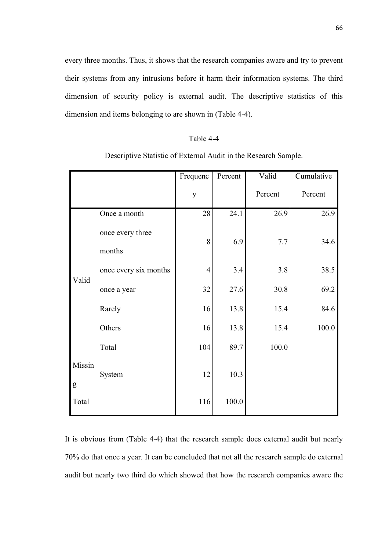every three months. Thus, it shows that the research companies aware and try to prevent their systems from any intrusions before it harm their information systems. The third dimension of security policy is external audit. The descriptive statistics of this dimension and items belonging to are shown in (Table 4-4).

#### Table 4-4

Descriptive Statistic of External Audit in the Research Sample.

|                     |                       | Frequenc       | Percent | Valid   | Cumulative |
|---------------------|-----------------------|----------------|---------|---------|------------|
|                     |                       | y              |         | Percent | Percent    |
|                     | Once a month          | 28             | 24.1    | 26.9    | 26.9       |
|                     | once every three      | 8              | 6.9     | 7.7     | 34.6       |
|                     | months                |                |         |         |            |
| Valid               | once every six months | $\overline{4}$ | 3.4     | 3.8     | 38.5       |
|                     | once a year           | 32             | 27.6    | 30.8    | 69.2       |
|                     | Rarely                | 16             | 13.8    | 15.4    | 84.6       |
|                     | Others                | 16             | 13.8    | 15.4    | 100.0      |
|                     | Total                 | 104            | 89.7    | 100.0   |            |
| Missin<br>${\bf g}$ | System                | 12             | 10.3    |         |            |
| Total               |                       | 116            | 100.0   |         |            |

It is obvious from (Table 4-4) that the research sample does external audit but nearly 70% do that once a year. It can be concluded that not all the research sample do external audit but nearly two third do which showed that how the research companies aware the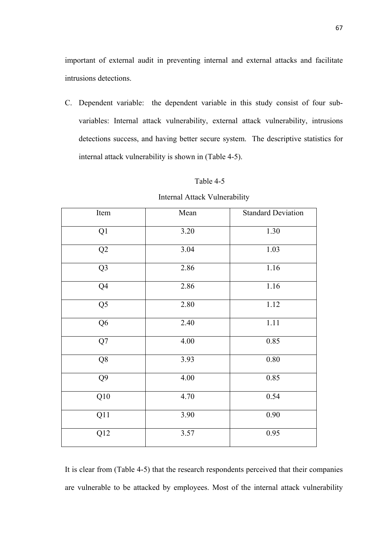important of external audit in preventing internal and external attacks and facilitate intrusions detections.

C. Dependent variable: the dependent variable in this study consist of four subvariables: Internal attack vulnerability, external attack vulnerability, intrusions detections success, and having better secure system. The descriptive statistics for internal attack vulnerability is shown in (Table 4-5).

### Table 4-5

#### Internal Attack Vulnerability

| Item             | Mean | <b>Standard Deviation</b> |
|------------------|------|---------------------------|
| Q1               | 3.20 | 1.30                      |
| Q2               | 3.04 | 1.03                      |
| $\overline{Q}$   | 2.86 | 1.16                      |
| Q4               | 2.86 | 1.16                      |
| $\overline{Q5}$  | 2.80 | 1.12                      |
| $\overline{Q6}$  | 2.40 | 1.11                      |
| $\overline{Q7}$  | 4.00 | 0.85                      |
| Q <sub>8</sub>   | 3.93 | 0.80                      |
| Q <sub>9</sub>   | 4.00 | 0.85                      |
| Q10              | 4.70 | 0.54                      |
| Q11              | 3.90 | 0.90                      |
| $\overline{Q12}$ | 3.57 | 0.95                      |

It is clear from (Table 4-5) that the research respondents perceived that their companies are vulnerable to be attacked by employees. Most of the internal attack vulnerability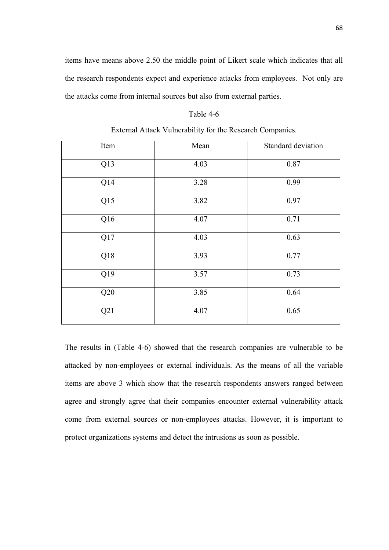items have means above 2.50 the middle point of Likert scale which indicates that all the research respondents expect and experience attacks from employees. Not only are the attacks come from internal sources but also from external parties.

#### Table 4-6

| Item | Mean | Standard deviation |
|------|------|--------------------|
| Q13  | 4.03 | 0.87               |
| Q14  | 3.28 | 0.99               |
| Q15  | 3.82 | 0.97               |
| Q16  | 4.07 | 0.71               |
| Q17  | 4.03 | 0.63               |
| Q18  | 3.93 | 0.77               |
| Q19  | 3.57 | 0.73               |
| Q20  | 3.85 | 0.64               |
| Q21  | 4.07 | 0.65               |

The results in (Table 4-6) showed that the research companies are vulnerable to be attacked by non-employees or external individuals. As the means of all the variable items are above 3 which show that the research respondents answers ranged between agree and strongly agree that their companies encounter external vulnerability attack come from external sources or non-employees attacks. However, it is important to protect organizations systems and detect the intrusions as soon as possible.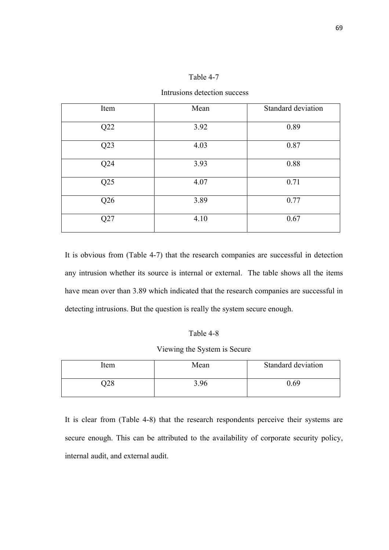### Table 4-7

Intrusions detection success

| Item | Mean | Standard deviation |
|------|------|--------------------|
| Q22  | 3.92 | 0.89               |
| Q23  | 4.03 | 0.87               |
| Q24  | 3.93 | 0.88               |
| Q25  | 4.07 | 0.71               |
| Q26  | 3.89 | 0.77               |
| Q27  | 4.10 | 0.67               |

It is obvious from (Table 4-7) that the research companies are successful in detection any intrusion whether its source is internal or external. The table shows all the items have mean over than 3.89 which indicated that the research companies are successful in detecting intrusions. But the question is really the system secure enough.

### Table 4-8

Viewing the System is Secure

| ltem | Mean | Standard deviation |
|------|------|--------------------|
| )28  | 3.96 | 0.69               |

It is clear from (Table 4-8) that the research respondents perceive their systems are secure enough. This can be attributed to the availability of corporate security policy, internal audit, and external audit.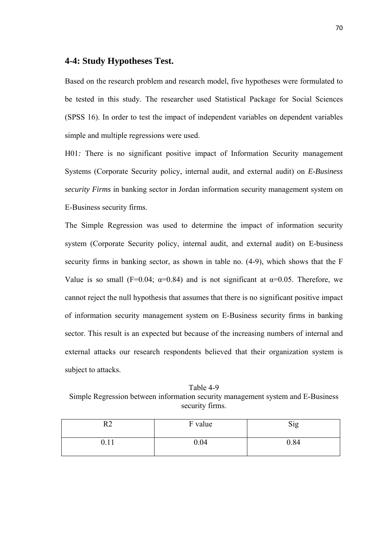### **4-4: Study Hypotheses Test.**

Based on the research problem and research model, five hypotheses were formulated to be tested in this study. The researcher used Statistical Package for Social Sciences (SPSS 16). In order to test the impact of independent variables on dependent variables simple and multiple regressions were used.

H01*:* There is no significant positive impact of Information Security management Systems (Corporate Security policy, internal audit, and external audit) on *E-Business security Firms* in banking sector in Jordan information security management system on E-Business security firms.

The Simple Regression was used to determine the impact of information security system (Corporate Security policy, internal audit, and external audit) on E-business security firms in banking sector, as shown in table no. (4-9), which shows that the F Value is so small (F=0.04;  $\alpha$ =0.84) and is not significant at  $\alpha$ =0.05. Therefore, we cannot reject the null hypothesis that assumes that there is no significant positive impact of information security management system on E-Business security firms in banking sector. This result is an expected but because of the increasing numbers of internal and external attacks our research respondents believed that their organization system is subject to attacks.

Table 4-9 Simple Regression between information security management system and E-Business security firms.

| --     | F value | Sig  |
|--------|---------|------|
| V. I 1 | 0.04    | 0.84 |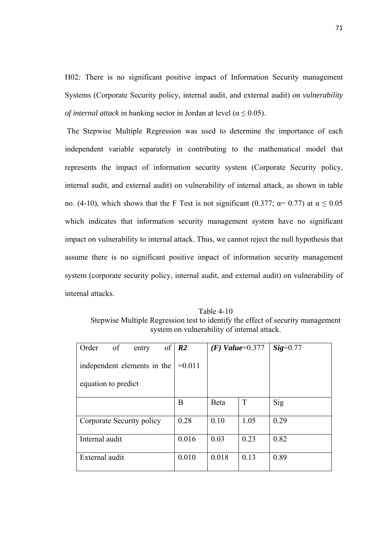H02*:* There is no significant positive impact of Information Security management Systems (Corporate Security policy, internal audit, and external audit) on *vulnerability of internal attack* in banking sector in Jordan at level ( $\alpha \le 0.05$ ).

 The Stepwise Multiple Regression was used to determine the importance of each independent variable separately in contributing to the mathematical model that represents the impact of information security system (Corporate Security policy, internal audit, and external audit) on vulnerability of internal attack, as shown in table no. (4-10), which shows that the F Test is not significant (0.377;  $\alpha$  = 0.77) at α  $\leq$  0.05 which indicates that information security management system have no significant impact on vulnerability to internal attack. Thus, we cannot reject the null hypothesis that assume there is no significant positive impact of information security management system (corporate security policy, internal audit, and external audit) on vulnerability of internal attacks.

Table 4-10 Stepwise Multiple Regression test to identify the effect of security management system on vulnerability of internal attack.

| of<br>Order<br>entry        | of $\vert R2 \vert$ |       | $(F)$ Value=0.377 | $Sig=0.77$ |
|-----------------------------|---------------------|-------|-------------------|------------|
| independent elements in the | $=0.011$            |       |                   |            |
| equation to predict         |                     |       |                   |            |
|                             | B                   | Beta  | T                 | Sig        |
| Corporate Security policy   | 0.28                | 0.10  | 1.05              | 0.29       |
| Internal audit              | 0.016               | 0.03  | 0.23              | 0.82       |
| External audit              | 0.010               | 0.018 | 0.13              | 0.89       |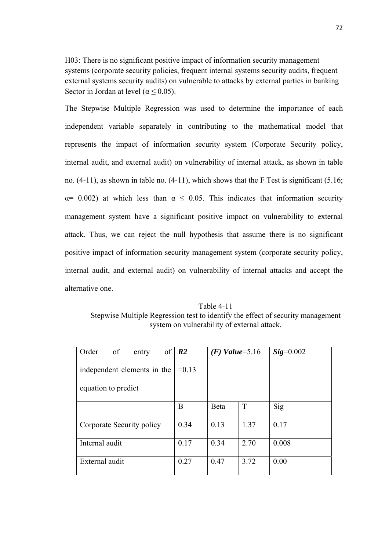H03: There is no significant positive impact of information security management systems (corporate security policies, frequent internal systems security audits, frequent external systems security audits) on vulnerable to attacks by external parties in banking Sector in Jordan at level ( $\alpha \le 0.05$ ).

The Stepwise Multiple Regression was used to determine the importance of each independent variable separately in contributing to the mathematical model that represents the impact of information security system (Corporate Security policy, internal audit, and external audit) on vulnerability of internal attack, as shown in table no. (4-11), as shown in table no. (4-11), which shows that the F Test is significant (5.16;  $\alpha$ = 0.002) at which less than  $\alpha \le 0.05$ . This indicates that information security management system have a significant positive impact on vulnerability to external attack. Thus, we can reject the null hypothesis that assume there is no significant positive impact of information security management system (corporate security policy, internal audit, and external audit) on vulnerability of internal attacks and accept the alternative one.

Table 4-11 Stepwise Multiple Regression test to identify the effect of security management system on vulnerability of external attack.

| Order<br>of<br>entry        | of $\vert R2 \vert$ | $(F)$ Value=5.16 |      | $Sig=0.002$ |
|-----------------------------|---------------------|------------------|------|-------------|
| independent elements in the | $=0.13$             |                  |      |             |
| equation to predict         |                     |                  |      |             |
|                             | B                   | Beta             | T    | Sig         |
| Corporate Security policy   | 0.34                | 0.13             | 1.37 | 0.17        |
| Internal audit              | 0.17                | 0.34             | 2.70 | 0.008       |
| External audit              | 0.27                | 0.47             | 3.72 | 0.00        |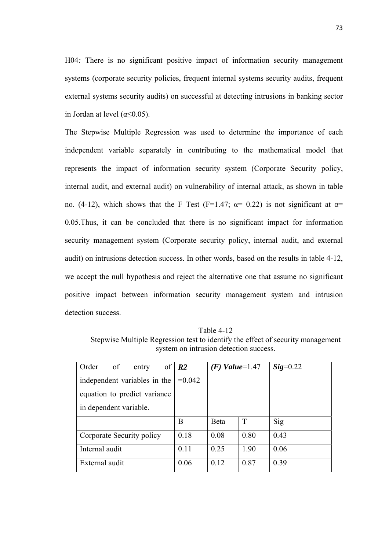H04*:* There is no significant positive impact of information security management systems (corporate security policies, frequent internal systems security audits, frequent external systems security audits) on successful at detecting intrusions in banking sector in Jordan at level ( $\alpha \leq 0.05$ ).

The Stepwise Multiple Regression was used to determine the importance of each independent variable separately in contributing to the mathematical model that represents the impact of information security system (Corporate Security policy, internal audit, and external audit) on vulnerability of internal attack, as shown in table no. (4-12), which shows that the F Test (F=1.47;  $\alpha$ = 0.22) is not significant at  $\alpha$ = 0.05.Thus, it can be concluded that there is no significant impact for information security management system (Corporate security policy, internal audit, and external audit) on intrusions detection success. In other words, based on the results in table 4-12, we accept the null hypothesis and reject the alternative one that assume no significant positive impact between information security management system and intrusion detection success.

Table 4-12 Stepwise Multiple Regression test to identify the effect of security management system on intrusion detection success.

| Order<br>$\overline{\text{of}}$<br>entry | of $\vert R2 \vert$ | $(F)$ Value=1.47 |      | $Sig=0.22$ |
|------------------------------------------|---------------------|------------------|------|------------|
| independent variables in the             | $=0.042$            |                  |      |            |
| equation to predict variance             |                     |                  |      |            |
| in dependent variable.                   |                     |                  |      |            |
|                                          | В                   | Beta             | T    | Sig        |
| Corporate Security policy                | 0.18                | 0.08             | 0.80 | 0.43       |
| Internal audit                           | 0.11                | 0.25             | 1.90 | 0.06       |
| External audit                           | 0.06                | 0.12             | 0.87 | 0.39       |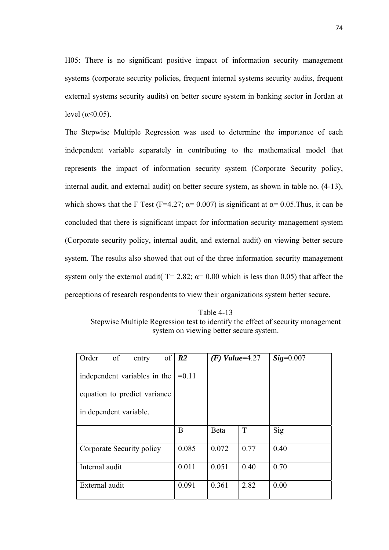H05: There is no significant positive impact of information security management systems (corporate security policies, frequent internal systems security audits, frequent external systems security audits) on better secure system in banking sector in Jordan at level ( $α \le 0.05$ ).

The Stepwise Multiple Regression was used to determine the importance of each independent variable separately in contributing to the mathematical model that represents the impact of information security system (Corporate Security policy, internal audit, and external audit) on better secure system, as shown in table no. (4-13), which shows that the F Test (F=4.27;  $\alpha$ = 0.007) is significant at  $\alpha$ = 0.05. Thus, it can be concluded that there is significant impact for information security management system (Corporate security policy, internal audit, and external audit) on viewing better secure system. The results also showed that out of the three information security management system only the external audit(  $T = 2.82$ ;  $\alpha = 0.00$  which is less than 0.05) that affect the perceptions of research respondents to view their organizations system better secure.

Table 4-13 Stepwise Multiple Regression test to identify the effect of security management system on viewing better secure system.

| of<br>Order<br>entry         | of $\vert R2 \vert$ | $(F)$ Value=4.27 |      | $\textit{Sig}=0.007$ |
|------------------------------|---------------------|------------------|------|----------------------|
| independent variables in the | $=0.11$             |                  |      |                      |
| equation to predict variance |                     |                  |      |                      |
| in dependent variable.       |                     |                  |      |                      |
|                              | B                   | Beta             | T    | Sig                  |
| Corporate Security policy    | 0.085               | 0.072            | 0.77 | 0.40                 |
| Internal audit               | 0.011               | 0.051            | 0.40 | 0.70                 |
| External audit               | 0.091               | 0.361            | 2.82 | 0.00                 |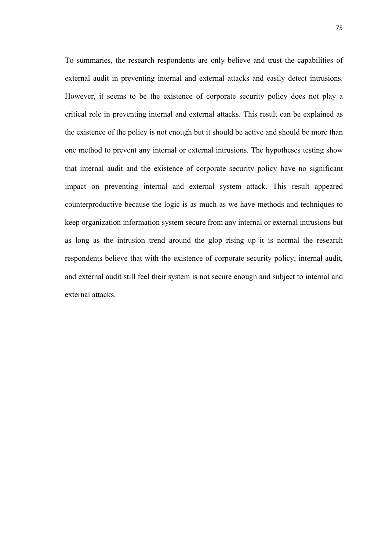To summaries, the research respondents are only believe and trust the capabilities of external audit in preventing internal and external attacks and easily detect intrusions. However, it seems to be the existence of corporate security policy does not play a critical role in preventing internal and external attacks. This result can be explained as the existence of the policy is not enough but it should be active and should be more than one method to prevent any internal or external intrusions. The hypotheses testing show that internal audit and the existence of corporate security policy have no significant impact on preventing internal and external system attack. This result appeared counterproductive because the logic is as much as we have methods and techniques to keep organization information system secure from any internal or external intrusions but as long as the intrusion trend around the glop rising up it is normal the research respondents believe that with the existence of corporate security policy, internal audit, and external audit still feel their system is not secure enough and subject to internal and external attacks.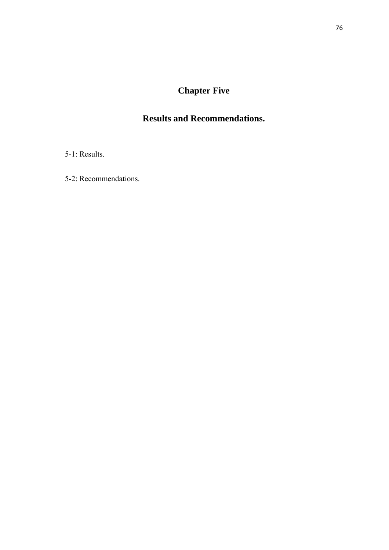# **Chapter Five**

# **Results and Recommendations.**

5-1: Results.

5-2: Recommendations.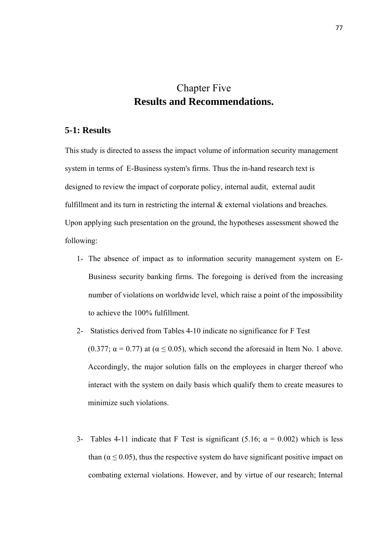# Chapter Five **Results and Recommendations.**

## **5-1: Results**

This study is directed to assess the impact volume of information security management system in terms of E-Business system's firms. Thus the in-hand research text is designed to review the impact of corporate policy, internal audit, external audit fulfillment and its turn in restricting the internal  $\&$  external violations and breaches. Upon applying such presentation on the ground, the hypotheses assessment showed the following:

- 1- The absence of impact as to information security management system on E-Business security banking firms. The foregoing is derived from the increasing number of violations on worldwide level, which raise a point of the impossibility to achieve the 100% fulfillment.
- 2- Statistics derived from Tables 4-10 indicate no significance for F Test (0.377;  $\alpha$  = 0.77) at ( $\alpha$   $\leq$  0.05), which second the aforesaid in Item No. 1 above. Accordingly, the major solution falls on the employees in charger thereof who interact with the system on daily basis which qualify them to create measures to minimize such violations.
- 3- Tables 4-11 indicate that F Test is significant (5.16;  $\alpha = 0.002$ ) which is less than ( $\alpha \leq 0.05$ ), thus the respective system do have significant positive impact on combating external violations. However, and by virtue of our research; Internal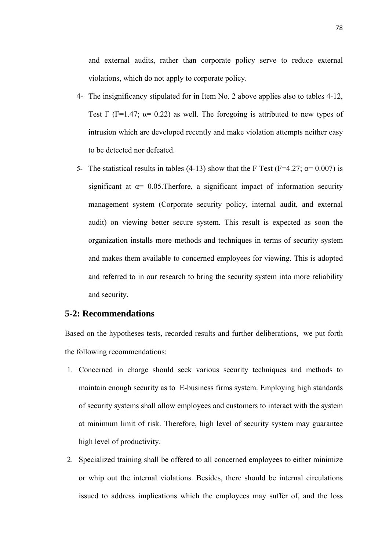and external audits, rather than corporate policy serve to reduce external violations, which do not apply to corporate policy.

- 4- The insignificancy stipulated for in Item No. 2 above applies also to tables 4-12, Test F (F=1.47;  $\alpha$ = 0.22) as well. The foregoing is attributed to new types of intrusion which are developed recently and make violation attempts neither easy to be detected nor defeated.
- 5- The statistical results in tables (4-13) show that the F Test (F=4.27;  $\alpha$ = 0.007) is significant at  $\alpha$ = 0.05. Therfore, a significant impact of information security management system (Corporate security policy, internal audit, and external audit) on viewing better secure system. This result is expected as soon the organization installs more methods and techniques in terms of security system and makes them available to concerned employees for viewing. This is adopted and referred to in our research to bring the security system into more reliability and security.

### **5-2: Recommendations**

Based on the hypotheses tests, recorded results and further deliberations, we put forth the following recommendations:

- 1. Concerned in charge should seek various security techniques and methods to maintain enough security as to E-business firms system. Employing high standards of security systems shall allow employees and customers to interact with the system at minimum limit of risk. Therefore, high level of security system may guarantee high level of productivity.
- 2. Specialized training shall be offered to all concerned employees to either minimize or whip out the internal violations. Besides, there should be internal circulations issued to address implications which the employees may suffer of, and the loss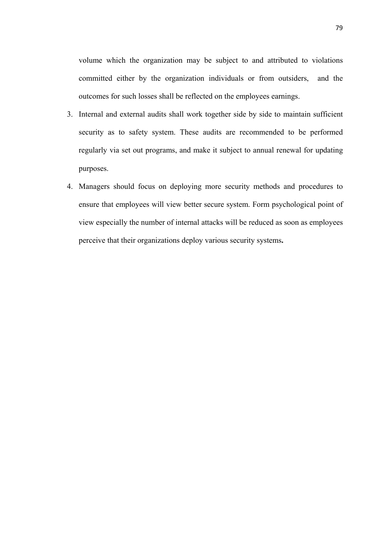volume which the organization may be subject to and attributed to violations committed either by the organization individuals or from outsiders, and the outcomes for such losses shall be reflected on the employees earnings.

- 3. Internal and external audits shall work together side by side to maintain sufficient security as to safety system. These audits are recommended to be performed regularly via set out programs, and make it subject to annual renewal for updating purposes.
- 4. Managers should focus on deploying more security methods and procedures to ensure that employees will view better secure system. Form psychological point of view especially the number of internal attacks will be reduced as soon as employees perceive that their organizations deploy various security systems**.**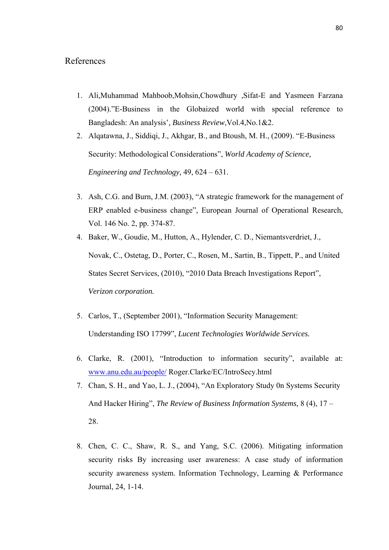### References

- 1. Ali,Muhammad Mahboob,Mohsin,Chowdhury ,Sifat-E and Yasmeen Farzana (2004)."E-Business in the Globaized world with special reference to Bangladesh: An analysis'*, Business Review*,Vol.4,No.1&2.
- 2. Alqatawna, J., Siddiqi, J., Akhgar, B., and Btoush, M. H., (2009). "E-Business Security: Methodological Considerations", *World Academy of Science, Engineering and Technology,* 49, 624 – 631.
- 3. Ash, C.G. and Burn, J.M. (2003), "A strategic framework for the management of ERP enabled e-business change", European Journal of Operational Research, Vol. 146 No. 2, pp. 374-87.
- 4. Baker, W., Goudie, M., Hutton, A., Hylender, C. D., Niemantsverdriet, J., Novak, C., Ostetag, D., Porter, C., Rosen, M., Sartin, B., Tippett, P., and United States Secret Services, (2010), "2010 Data Breach Investigations Report", *Verizon corporation.*
- 5. Carlos, T., (September 2001), "Information Security Management: Understanding ISO 17799", *Lucent Technologies Worldwide Services.*
- 6. Clarke, R. (2001), "Introduction to information security", available at: www.anu.edu.au/people/ Roger.Clarke/EC/IntroSecy.html
- 7. Chan, S. H., and Yao, L. J., (2004), "An Exploratory Study 0n Systems Security And Hacker Hiring", *The Review of Business Information Systems,* 8 (4), 17 – 28.
- 8. Chen, C. C., Shaw, R. S., and Yang, S.C. (2006). Mitigating information security risks By increasing user awareness: A case study of information security awareness system. Information Technology, Learning & Performance Journal, 24, 1-14.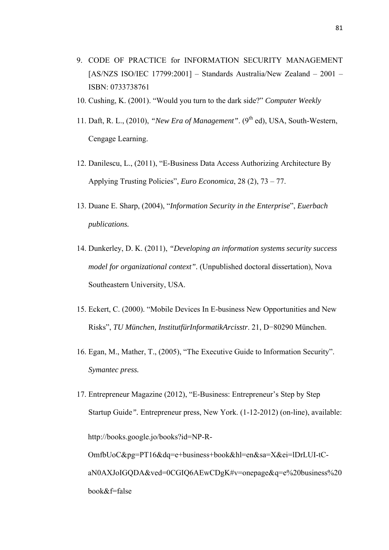- 9. CODE OF PRACTICE for INFORMATION SECURITY MANAGEMENT [AS/NZS ISO/IEC 17799:2001] – Standards Australia/New Zealand – 2001 – ISBN: 0733738761
- 10. Cushing, K. (2001). "Would you turn to the dark side?" *Computer Weekly*
- 11. Daft, R. L., (2010), *"New Era of Management"*. (9th ed), USA, South-Western, Cengage Learning.
- 12. Danilescu, L., (2011), "E-Business Data Access Authorizing Architecture By Applying Trusting Policies", *Euro Economica*, 28 (2), 73 – 77.
- 13. Duane E. Sharp, (2004), "*Information Security in the Enterprise*", *Euerbach publications.*
- 14. Dunkerley, D. K. (2011), *"Developing an information systems security success model for organizational context".* (Unpublished doctoral dissertation), Nova Southeastern University, USA.
- 15. Eckert, C. (2000). "Mobile Devices In E-business New Opportunities and New Risks", *TU München, InstitutfürInformatikArcisstr*. 21, D−80290 München.
- 16. Egan, M., Mather, T., (2005), "The Executive Guide to Information Security". *Symantec press.*
- 17. Entrepreneur Magazine (2012), "E-Business: Entrepreneur's Step by Step Startup Guide*".* Entrepreneur press, New York. (1-12-2012) (on-line), available: http://books.google.jo/books?id=NP-R-OmfbUoC&pg=PT16&dq=e+business+book&hl=en&sa=X&ei=lDrLUI-tCaN0AXJoIGQDA&ved=0CGIQ6AEwCDgK#v=onepage&q=e%20business%20 book&f=false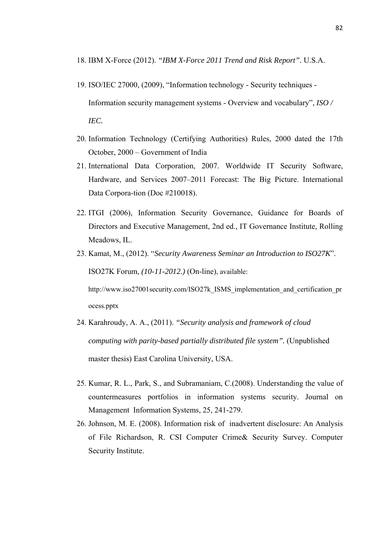- 18. IBM X-Force (2012). *"IBM X-Force 2011 Trend and Risk Report".* U.S.A.
- 19. ISO/IEC 27000, (2009), "Information technology Security techniques Information security management systems - Overview and vocabulary", *ISO / IEC.*
- 20. Information Technology (Certifying Authorities) Rules, 2000 dated the 17th October, 2000 – Government of India
- 21. International Data Corporation, 2007. Worldwide IT Security Software, Hardware, and Services 2007–2011 Forecast: The Big Picture. International Data Corpora-tion (Doc #210018).
- 22. ITGI (2006), Information Security Governance, Guidance for Boards of Directors and Executive Management, 2nd ed., IT Governance Institute, Rolling Meadows, IL.
- 23. Kamat, M., (2012). "*Security Awareness Seminar an Introduction to ISO27K*". ISO27K Forum, *(10-11-2012.)* (On-line), available:

http://www.iso27001security.com/ISO27k\_ISMS\_implementation\_and\_certification\_pr ocess.pptx

- 24. Karahroudy, A. A., (2011). *"Security analysis and framework of cloud computing with parity-based partially distributed file system".* (Unpublished master thesis) East Carolina University, USA.
- 25. Kumar, R. L., Park, S., and Subramaniam, C.(2008). Understanding the value of countermeasures portfolios in information systems security. Journal on Management Information Systems, 25, 241-279.
- 26. Johnson, M. E. (2008). Information risk of inadvertent disclosure: An Analysis of File Richardson, R. CSI Computer Crime & Security Survey. Computer Security Institute.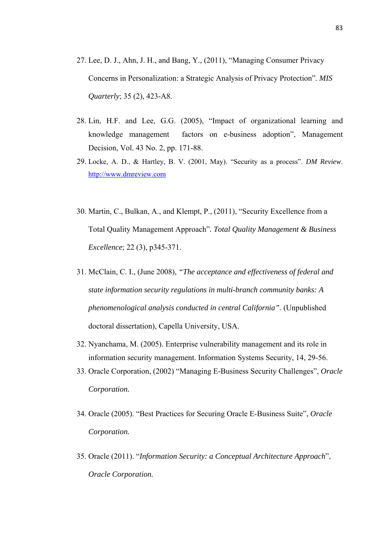- 27. Lee, D. J., Ahn, J. H., and Bang, Y., (2011), "Managing Consumer Privacy Concerns in Personalization: a Strategic Analysis of Privacy Protection"*. MIS Quarterly*; 35 (2), 423-A8.
- 28. Lin, H.F. and Lee, G.G. (2005), "Impact of organizational learning and knowledge management factors on e-business adoption", Management Decision, Vol. 43 No. 2, pp. 171-88.
- 29. Locke, A. D., & Hartley, B. V. (2001, May). "Security as a process". *DM Review*. http://www.dmreview.com
- 30. Martin, C., Bulkan, A., and Klempt, P., (2011), "Security Excellence from a Total Quality Management Approach"*. Total Quality Management & Business Excellence*; 22 (3), p345-371.
- 31. McClain, C. I., (June 2008), *"The acceptance and effectiveness of federal and state information security regulations in multi-branch community banks: A phenomenological analysis conducted in central California".* (Unpublished doctoral dissertation), Capella University, USA.
- 32. Nyanchama, M. (2005). Enterprise vulnerability management and its role in information security management. Information Systems Security, 14, 29-56.
- 33. Oracle Corporation, (2002) "Managing E-Business Security Challenges", *Oracle Corporation.*
- 34. Oracle (2005). "Best Practices for Securing Oracle E-Business Suite", *Oracle Corporation.*
- 35. Oracle (2011). "*Information Security: a Conceptual Architecture Approach*", *Oracle Corporation.*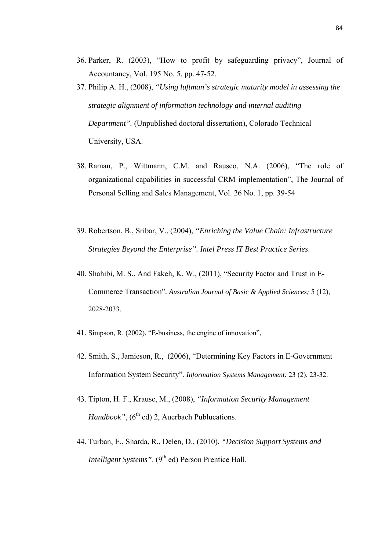- 36. Parker, R. (2003), "How to profit by safeguarding privacy", Journal of Accountancy, Vol. 195 No. 5, pp. 47-52.
- 37. Philip A. H., (2008), *"Using luftman's strategic maturity model in assessing the strategic alignment of information technology and internal auditing Department".* (Unpublished doctoral dissertation), Colorado Technical University, USA.
- 38. Raman, P., Wittmann, C.M. and Rauseo, N.A. (2006), "The role of organizational capabilities in successful CRM implementation", The Journal of Personal Selling and Sales Management, Vol. 26 No. 1, pp. 39-54
- 39. Robertson, B., Sribar, V., (2004), *"Enriching the Value Chain: Infrastructure Strategies Beyond the Enterprise". Intel Press IT Best Practice Series*.
- 40. Shahibi, M. S., And Fakeh, K. W., (2011), "Security Factor and Trust in E-Commerce Transaction"*. Australian Journal of Basic & Applied Sciences;* 5 (12), 2028-2033.
- 41. Simpson, R. (2002), "E-business, the engine of innovation",
- 42. Smith, S., Jamieson, R., (2006), "Determining Key Factors in E-Government Information System Security"*. Information Systems Management*; 23 (2), 23-32.
- 43. Tipton, H. F., Krause, M., (2008), *"Information Security Management Handbook"*, (6<sup>th</sup> ed) 2, Auerbach Publucations.
- 44. Turban, E., Sharda, R., Delen, D., (2010), *"Decision Support Systems and Intelligent Systems"*. (9<sup>th</sup> ed) Person Prentice Hall.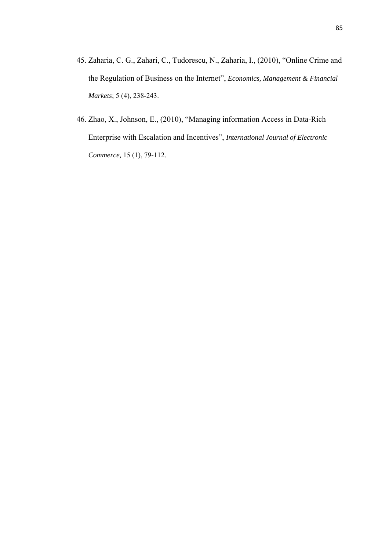- 45. Zaharia, C. G., Zahari, C., Tudorescu, N., Zaharia, I., (2010), "Online Crime and the Regulation of Business on the Internet", *Economics, Management & Financial Markets*; 5 (4), 238-243.
- 46. Zhao, X., Johnson, E., (2010), "Managing information Access in Data-Rich Enterprise with Escalation and Incentives", *International Journal of Electronic Commerce,* 15 (1), 79-112.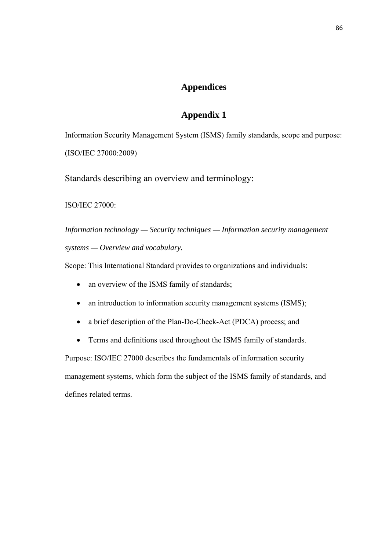## **Appendices**

### **Appendix 1**

Information Security Management System (ISMS) family standards, scope and purpose: (ISO/IEC 27000:2009)

Standards describing an overview and terminology:

ISO/IEC 27000:

*Information technology — Security techniques — Information security management systems — Overview and vocabulary.* 

Scope: This International Standard provides to organizations and individuals:

- an overview of the ISMS family of standards;
- an introduction to information security management systems (ISMS);
- a brief description of the Plan-Do-Check-Act (PDCA) process; and
- Terms and definitions used throughout the ISMS family of standards.

Purpose: ISO/IEC 27000 describes the fundamentals of information security management systems, which form the subject of the ISMS family of standards, and defines related terms.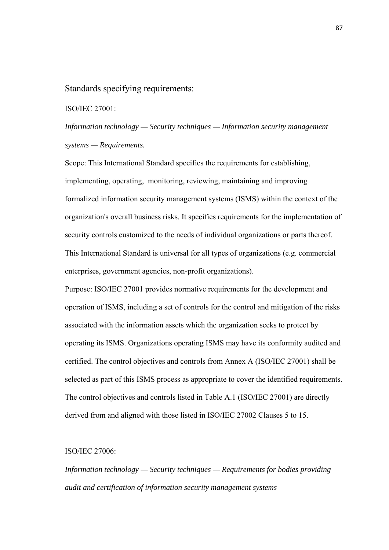#### Standards specifying requirements:

ISO/IEC 27001:

*Information technology — Security techniques — Information security management systems — Requirements.* 

Scope: This International Standard specifies the requirements for establishing, implementing, operating, monitoring, reviewing, maintaining and improving formalized information security management systems (ISMS) within the context of the organization's overall business risks. It specifies requirements for the implementation of security controls customized to the needs of individual organizations or parts thereof. This International Standard is universal for all types of organizations (e.g. commercial enterprises, government agencies, non-profit organizations).

Purpose: ISO/IEC 27001 provides normative requirements for the development and operation of ISMS, including a set of controls for the control and mitigation of the risks associated with the information assets which the organization seeks to protect by operating its ISMS. Organizations operating ISMS may have its conformity audited and certified. The control objectives and controls from Annex A (ISO/IEC 27001) shall be selected as part of this ISMS process as appropriate to cover the identified requirements. The control objectives and controls listed in Table A.1 (ISO/IEC 27001) are directly derived from and aligned with those listed in ISO/IEC 27002 Clauses 5 to 15.

#### ISO/IEC 27006:

*Information technology — Security techniques — Requirements for bodies providing audit and certification of information security management systems*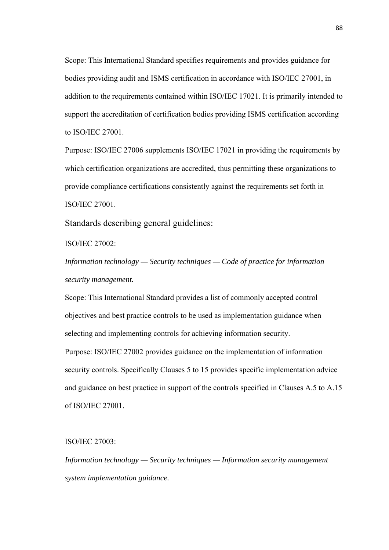Scope: This International Standard specifies requirements and provides guidance for bodies providing audit and ISMS certification in accordance with ISO/IEC 27001, in addition to the requirements contained within ISO/IEC 17021. It is primarily intended to support the accreditation of certification bodies providing ISMS certification according to ISO/IEC 27001.

Purpose: ISO/IEC 27006 supplements ISO/IEC 17021 in providing the requirements by which certification organizations are accredited, thus permitting these organizations to provide compliance certifications consistently against the requirements set forth in ISO/IEC 27001.

Standards describing general guidelines:

ISO/IEC 27002:

*Information technology — Security techniques — Code of practice for information security management.* 

Scope: This International Standard provides a list of commonly accepted control objectives and best practice controls to be used as implementation guidance when selecting and implementing controls for achieving information security.

Purpose: ISO/IEC 27002 provides guidance on the implementation of information security controls. Specifically Clauses 5 to 15 provides specific implementation advice and guidance on best practice in support of the controls specified in Clauses A.5 to A.15 of ISO/IEC 27001.

ISO/IEC 27003:

*Information technology — Security techniques — Information security management system implementation guidance.*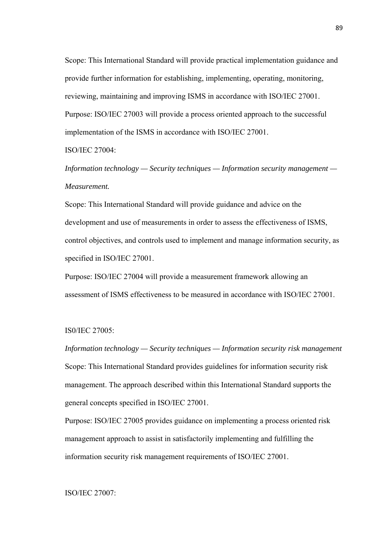Scope: This International Standard will provide practical implementation guidance and provide further information for establishing, implementing, operating, monitoring, reviewing, maintaining and improving ISMS in accordance with ISO/IEC 27001. Purpose: ISO/IEC 27003 will provide a process oriented approach to the successful implementation of the ISMS in accordance with ISO/IEC 27001.

### ISO/IEC 27004:

*Information technology — Security techniques — Information security management — Measurement.* 

Scope: This International Standard will provide guidance and advice on the development and use of measurements in order to assess the effectiveness of ISMS, control objectives, and controls used to implement and manage information security, as specified in ISO/IEC 27001.

Purpose: ISO/IEC 27004 will provide a measurement framework allowing an assessment of ISMS effectiveness to be measured in accordance with ISO/IEC 27001.

#### IS0/IEC 27005:

*Information technology — Security techniques — Information security risk management*  Scope: This International Standard provides guidelines for information security risk management. The approach described within this International Standard supports the general concepts specified in ISO/IEC 27001.

Purpose: ISO/IEC 27005 provides guidance on implementing a process oriented risk management approach to assist in satisfactorily implementing and fulfilling the information security risk management requirements of ISO/IEC 27001.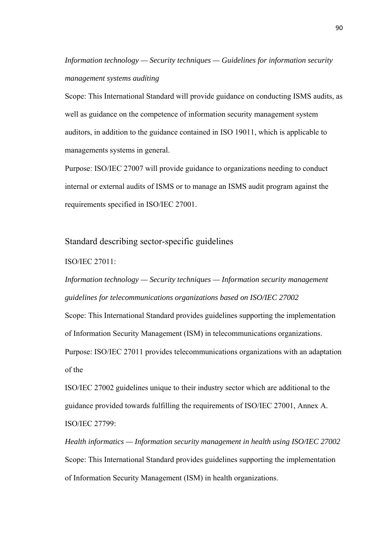*Information technology — Security techniques — Guidelines for information security management systems auditing* 

Scope: This International Standard will provide guidance on conducting ISMS audits, as well as guidance on the competence of information security management system auditors, in addition to the guidance contained in ISO 19011, which is applicable to managements systems in general.

Purpose: ISO/IEC 27007 will provide guidance to organizations needing to conduct internal or external audits of ISMS or to manage an ISMS audit program against the requirements specified in ISO/IEC 27001.

### Standard describing sector-specific guidelines

### ISO/IEC 27011:

*Information technology — Security techniques — Information security management guidelines for telecommunications organizations based on ISO/IEC 27002* 

Scope: This International Standard provides guidelines supporting the implementation of Information Security Management (ISM) in telecommunications organizations.

Purpose: ISO/IEC 27011 provides telecommunications organizations with an adaptation of the

ISO/IEC 27002 guidelines unique to their industry sector which are additional to the guidance provided towards fulfilling the requirements of ISO/IEC 27001, Annex A. ISO/IEC 27799:

*Health informatics — Information security management in health using ISO/IEC 27002*  Scope: This International Standard provides guidelines supporting the implementation of Information Security Management (ISM) in health organizations.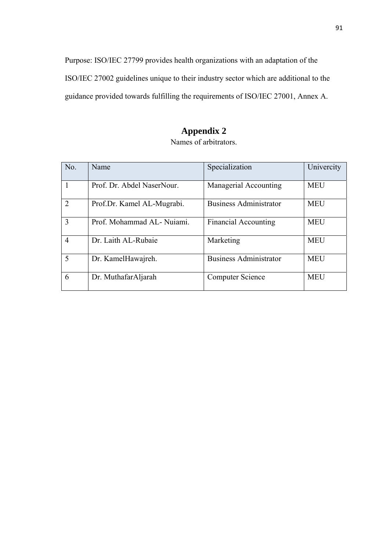Purpose: ISO/IEC 27799 provides health organizations with an adaptation of the ISO/IEC 27002 guidelines unique to their industry sector which are additional to the guidance provided towards fulfilling the requirements of ISO/IEC 27001, Annex A.

# **Appendix 2**

| No.            | Name                       | Specialization                | Univercity |
|----------------|----------------------------|-------------------------------|------------|
|                | Prof. Dr. Abdel NaserNour. | Managerial Accounting         | <b>MEU</b> |
| $\mathcal{D}$  | Prof.Dr. Kamel AL-Mugrabi. | <b>Business Administrator</b> | <b>MEU</b> |
| 3              | Prof. Mohammad AL-Nujami.  | <b>Financial Accounting</b>   | <b>MEU</b> |
| $\overline{4}$ | Dr. Laith AL-Rubaie        | Marketing                     | <b>MEU</b> |
| 5              | Dr. KamelHawajreh.         | <b>Business Administrator</b> | <b>MEU</b> |
| 6              | Dr. MuthafarAljarah        | <b>Computer Science</b>       | <b>MEU</b> |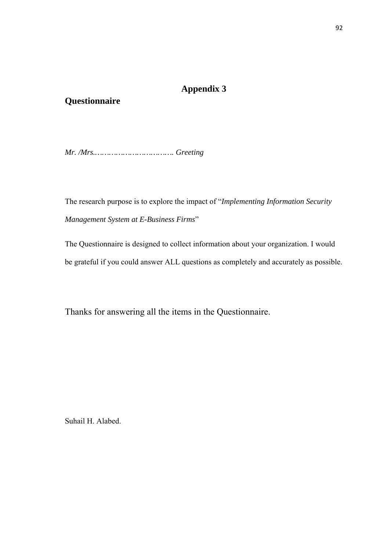# **Appendix 3**

## **Questionnaire**

*Mr. /Mrs.……………………………. Greeting* 

The research purpose is to explore the impact of "*Implementing Information Security Management System at E-Business Firms*"

The Questionnaire is designed to collect information about your organization. I would be grateful if you could answer ALL questions as completely and accurately as possible.

Thanks for answering all the items in the Questionnaire.

Suhail H. Alabed.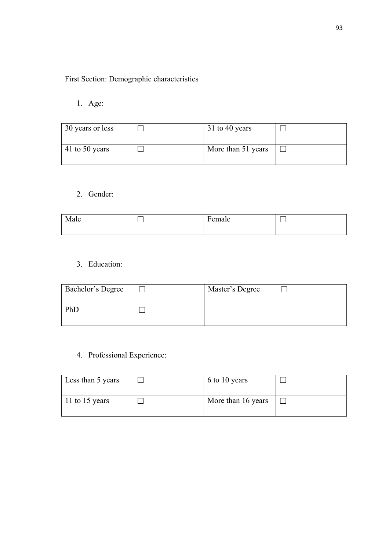# First Section: Demographic characteristics

1. Age:

| 30 years or less | 31 to 40 years     |  |
|------------------|--------------------|--|
| 41 to 50 years   | More than 51 years |  |

2. Gender:

| Male | <b>D</b><br>Female |  |
|------|--------------------|--|
|      |                    |  |
|      |                    |  |

3. Education:

| Bachelor's Degree | Master's Degree |  |
|-------------------|-----------------|--|
| PhD               |                 |  |

4. Professional Experience:

| Less than 5 years | 6 to 10 years      |  |
|-------------------|--------------------|--|
| 11 to 15 years    | More than 16 years |  |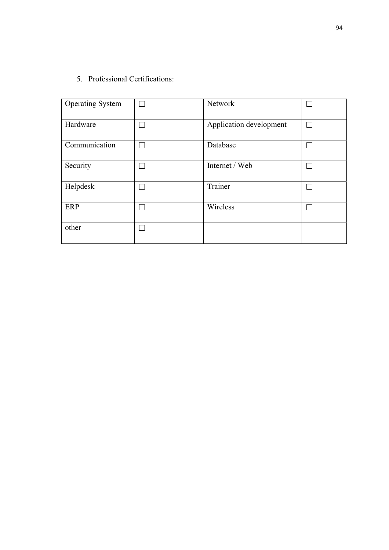5. Professional Certifications:

| <b>Operating System</b> | Network                 |  |
|-------------------------|-------------------------|--|
| Hardware                | Application development |  |
| Communication           | Database                |  |
| Security                | Internet / Web          |  |
| Helpdesk                | Trainer                 |  |
| ERP                     | Wireless                |  |
| other                   |                         |  |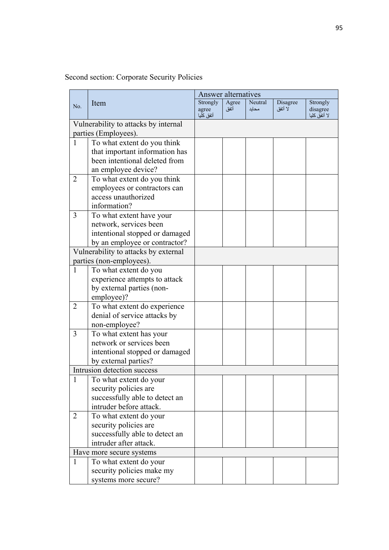|                |                                      | Answer alternatives |       |         |          |                          |
|----------------|--------------------------------------|---------------------|-------|---------|----------|--------------------------|
| No.            | Item                                 | Strongly            | Agree | Neutral | Disagree | Strongly                 |
|                |                                      | agree<br>أتفق كليا  | أتفق  | محايد   | لا أتفق  | disagree<br>لا أتفق كليا |
|                | Vulnerability to attacks by internal |                     |       |         |          |                          |
|                | parties (Employees).                 |                     |       |         |          |                          |
| 1              | To what extent do you think          |                     |       |         |          |                          |
|                | that important information has       |                     |       |         |          |                          |
|                | been intentional deleted from        |                     |       |         |          |                          |
|                | an employee device?                  |                     |       |         |          |                          |
| $\overline{2}$ | To what extent do you think          |                     |       |         |          |                          |
|                | employees or contractors can         |                     |       |         |          |                          |
|                | access unauthorized                  |                     |       |         |          |                          |
|                | information?                         |                     |       |         |          |                          |
| 3              | To what extent have your             |                     |       |         |          |                          |
|                | network, services been               |                     |       |         |          |                          |
|                | intentional stopped or damaged       |                     |       |         |          |                          |
|                | by an employee or contractor?        |                     |       |         |          |                          |
|                | Vulnerability to attacks by external |                     |       |         |          |                          |
|                | parties (non-employees).             |                     |       |         |          |                          |
| $\mathbf{1}$   | To what extent do you                |                     |       |         |          |                          |
|                | experience attempts to attack        |                     |       |         |          |                          |
|                | by external parties (non-            |                     |       |         |          |                          |
|                | employee)?                           |                     |       |         |          |                          |
| 2              | To what extent do experience         |                     |       |         |          |                          |
|                | denial of service attacks by         |                     |       |         |          |                          |
|                | non-employee?                        |                     |       |         |          |                          |
| 3              | To what extent has your              |                     |       |         |          |                          |
|                | network or services been             |                     |       |         |          |                          |
|                | intentional stopped or damaged       |                     |       |         |          |                          |
|                | by external parties?                 |                     |       |         |          |                          |
|                | Intrusion detection success          |                     |       |         |          |                          |
|                | To what extent do your               |                     |       |         |          |                          |
|                | security policies are                |                     |       |         |          |                          |
|                | successfully able to detect an       |                     |       |         |          |                          |
|                | intruder before attack.              |                     |       |         |          |                          |
| $\overline{2}$ | To what extent do your               |                     |       |         |          |                          |
|                | security policies are                |                     |       |         |          |                          |
|                | successfully able to detect an       |                     |       |         |          |                          |
|                | intruder after attack.               |                     |       |         |          |                          |
|                | Have more secure systems             |                     |       |         |          |                          |
| $\mathbf{1}$   | To what extent do your               |                     |       |         |          |                          |
|                | security policies make my            |                     |       |         |          |                          |
|                | systems more secure?                 |                     |       |         |          |                          |

# Second section: Corporate Security Policies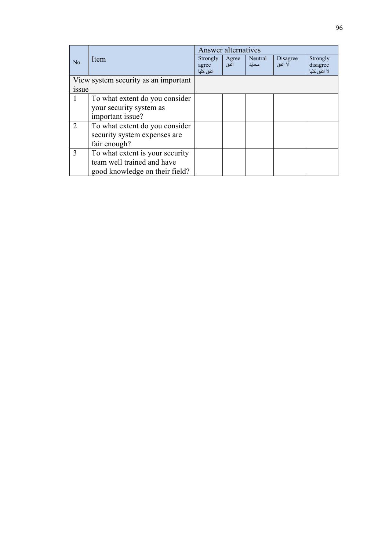|             |                                      | Answer alternatives                   |               |                  |                     |                                      |
|-------------|--------------------------------------|---------------------------------------|---------------|------------------|---------------------|--------------------------------------|
| No.         | Item                                 | <b>Strongly</b><br>agree<br>أتفق كلبا | Agree<br>أتفق | Neutral<br>محايد | Disagree<br>لا أنفق | Strongly<br>disagree<br>لا أتفق كليا |
|             | View system security as an important |                                       |               |                  |                     |                                      |
| <i>ssue</i> |                                      |                                       |               |                  |                     |                                      |
| 1           | To what extent do you consider       |                                       |               |                  |                     |                                      |
|             | your security system as              |                                       |               |                  |                     |                                      |
|             | important issue?                     |                                       |               |                  |                     |                                      |
| 2           | To what extent do you consider       |                                       |               |                  |                     |                                      |
|             | security system expenses are         |                                       |               |                  |                     |                                      |
|             | fair enough?                         |                                       |               |                  |                     |                                      |
| 3           | To what extent is your security      |                                       |               |                  |                     |                                      |
|             | team well trained and have           |                                       |               |                  |                     |                                      |
|             | good knowledge on their field?       |                                       |               |                  |                     |                                      |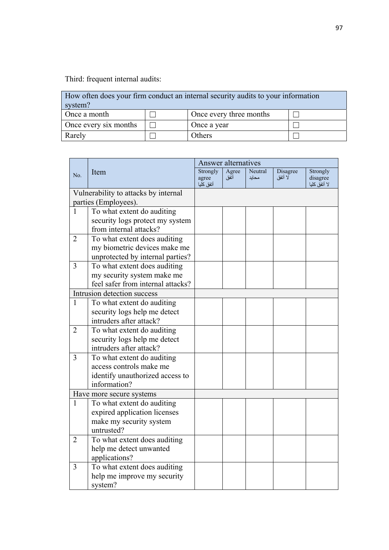Third: frequent internal audits:

| How often does your firm conduct an internal security audits to your information<br>system? |  |                         |  |  |  |
|---------------------------------------------------------------------------------------------|--|-------------------------|--|--|--|
| Once a month                                                                                |  | Once every three months |  |  |  |
| Once every six months                                                                       |  | Once a year             |  |  |  |
| Rarely                                                                                      |  | Others                  |  |  |  |

|                          |                                                           | <b>Answer alternatives</b> |       |         |          |                          |
|--------------------------|-----------------------------------------------------------|----------------------------|-------|---------|----------|--------------------------|
| No.                      | Item                                                      | Strongly                   | Agree | Neutral | Disagree | Strongly                 |
|                          |                                                           | agree<br>أتفق كليا         | أتفق  | محايد   | لا أنفق  | disagree<br>لا أتفق كليا |
|                          | Vulnerability to attacks by internal                      |                            |       |         |          |                          |
|                          | parties (Employees).                                      |                            |       |         |          |                          |
| $\mathbf{1}$             | To what extent do auditing                                |                            |       |         |          |                          |
|                          |                                                           |                            |       |         |          |                          |
|                          | security logs protect my system<br>from internal attacks? |                            |       |         |          |                          |
|                          |                                                           |                            |       |         |          |                          |
| $\overline{2}$           | To what extent does auditing                              |                            |       |         |          |                          |
|                          | my biometric devices make me                              |                            |       |         |          |                          |
|                          | unprotected by internal parties?                          |                            |       |         |          |                          |
| $\overline{3}$           | To what extent does auditing                              |                            |       |         |          |                          |
|                          | my security system make me                                |                            |       |         |          |                          |
|                          | feel safer from internal attacks?                         |                            |       |         |          |                          |
|                          | Intrusion detection success                               |                            |       |         |          |                          |
| $\mathbf{1}$             | To what extent do auditing                                |                            |       |         |          |                          |
|                          | security logs help me detect                              |                            |       |         |          |                          |
|                          | intruders after attack?                                   |                            |       |         |          |                          |
| $\overline{2}$           | To what extent do auditing                                |                            |       |         |          |                          |
|                          | security logs help me detect                              |                            |       |         |          |                          |
|                          | intruders after attack?                                   |                            |       |         |          |                          |
| $\overline{3}$           | To what extent do auditing                                |                            |       |         |          |                          |
|                          | access controls make me                                   |                            |       |         |          |                          |
|                          | identify unauthorized access to                           |                            |       |         |          |                          |
|                          | information?                                              |                            |       |         |          |                          |
| Have more secure systems |                                                           |                            |       |         |          |                          |
| 1                        | To what extent do auditing                                |                            |       |         |          |                          |
|                          | expired application licenses                              |                            |       |         |          |                          |
|                          | make my security system                                   |                            |       |         |          |                          |
|                          | untrusted?                                                |                            |       |         |          |                          |
| $\overline{2}$           | To what extent does auditing                              |                            |       |         |          |                          |
|                          | help me detect unwanted                                   |                            |       |         |          |                          |
|                          | applications?                                             |                            |       |         |          |                          |
| 3                        | To what extent does auditing                              |                            |       |         |          |                          |
|                          | help me improve my security                               |                            |       |         |          |                          |
|                          | system?                                                   |                            |       |         |          |                          |